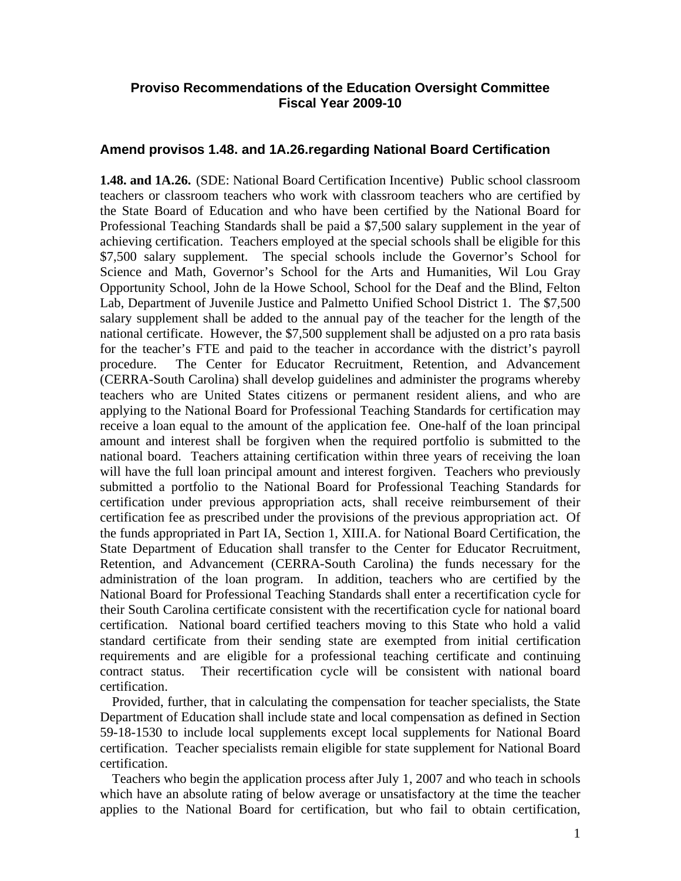#### **Proviso Recommendations of the Education Oversight Committee Fiscal Year 2009-10**

#### **Amend provisos 1.48. and 1A.26.regarding National Board Certification**

**1.48. and 1A.26.** (SDE: National Board Certification Incentive) Public school classroom teachers or classroom teachers who work with classroom teachers who are certified by the State Board of Education and who have been certified by the National Board for Professional Teaching Standards shall be paid a \$7,500 salary supplement in the year of achieving certification. Teachers employed at the special schools shall be eligible for this \$7,500 salary supplement. The special schools include the Governor's School for Science and Math, Governor's School for the Arts and Humanities, Wil Lou Gray Opportunity School, John de la Howe School, School for the Deaf and the Blind, Felton Lab, Department of Juvenile Justice and Palmetto Unified School District 1. The \$7,500 salary supplement shall be added to the annual pay of the teacher for the length of the national certificate. However, the \$7,500 supplement shall be adjusted on a pro rata basis for the teacher's FTE and paid to the teacher in accordance with the district's payroll procedure. The Center for Educator Recruitment, Retention, and Advancement (CERRA-South Carolina) shall develop guidelines and administer the programs whereby teachers who are United States citizens or permanent resident aliens, and who are applying to the National Board for Professional Teaching Standards for certification may receive a loan equal to the amount of the application fee. One-half of the loan principal amount and interest shall be forgiven when the required portfolio is submitted to the national board. Teachers attaining certification within three years of receiving the loan will have the full loan principal amount and interest forgiven. Teachers who previously submitted a portfolio to the National Board for Professional Teaching Standards for certification under previous appropriation acts, shall receive reimbursement of their certification fee as prescribed under the provisions of the previous appropriation act. Of the funds appropriated in Part IA, Section 1, XIII.A. for National Board Certification, the State Department of Education shall transfer to the Center for Educator Recruitment, Retention, and Advancement (CERRA-South Carolina) the funds necessary for the administration of the loan program. In addition, teachers who are certified by the National Board for Professional Teaching Standards shall enter a recertification cycle for their South Carolina certificate consistent with the recertification cycle for national board certification. National board certified teachers moving to this State who hold a valid standard certificate from their sending state are exempted from initial certification requirements and are eligible for a professional teaching certificate and continuing contract status. Their recertification cycle will be consistent with national board certification.

 Provided, further, that in calculating the compensation for teacher specialists, the State Department of Education shall include state and local compensation as defined in Section 59-18-1530 to include local supplements except local supplements for National Board certification. Teacher specialists remain eligible for state supplement for National Board certification.

 Teachers who begin the application process after July 1, 2007 and who teach in schools which have an absolute rating of below average or unsatisfactory at the time the teacher applies to the National Board for certification, but who fail to obtain certification,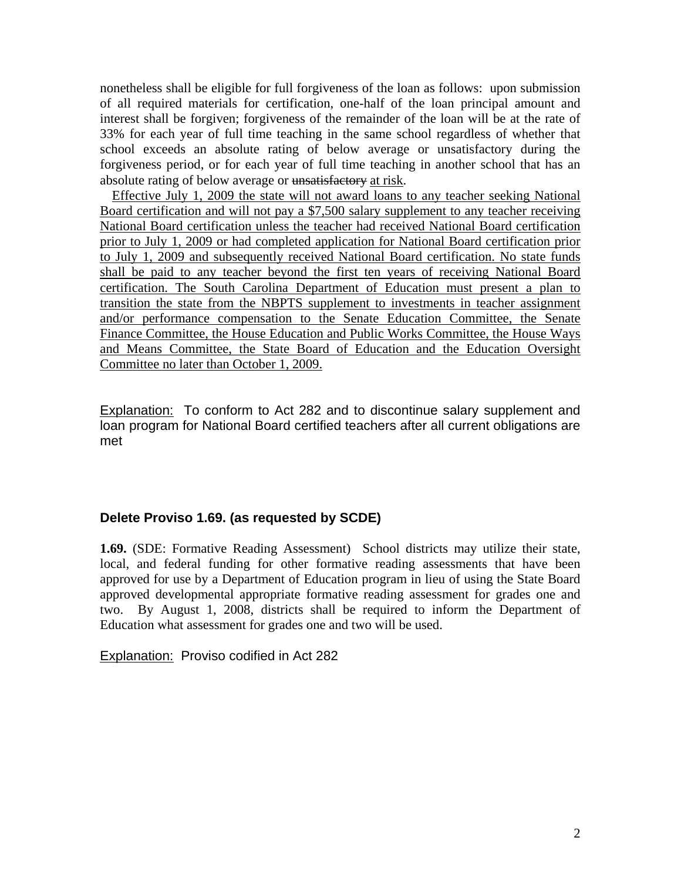nonetheless shall be eligible for full forgiveness of the loan as follows: upon submission of all required materials for certification, one-half of the loan principal amount and interest shall be forgiven; forgiveness of the remainder of the loan will be at the rate of 33% for each year of full time teaching in the same school regardless of whether that school exceeds an absolute rating of below average or unsatisfactory during the forgiveness period, or for each year of full time teaching in another school that has an absolute rating of below average or unsatisfactory at risk.

Effective July 1, 2009 the state will not award loans to any teacher seeking National Board certification and will not pay a \$7,500 salary supplement to any teacher receiving National Board certification unless the teacher had received National Board certification prior to July 1, 2009 or had completed application for National Board certification prior to July 1, 2009 and subsequently received National Board certification. No state funds shall be paid to any teacher beyond the first ten years of receiving National Board certification. The South Carolina Department of Education must present a plan to transition the state from the NBPTS supplement to investments in teacher assignment and/or performance compensation to the Senate Education Committee, the Senate Finance Committee, the House Education and Public Works Committee, the House Ways and Means Committee, the State Board of Education and the Education Oversight Committee no later than October 1, 2009.

Explanation: To conform to Act 282 and to discontinue salary supplement and loan program for National Board certified teachers after all current obligations are met

#### **Delete Proviso 1.69. (as requested by SCDE)**

**1.69.** (SDE: Formative Reading Assessment) School districts may utilize their state, local, and federal funding for other formative reading assessments that have been approved for use by a Department of Education program in lieu of using the State Board approved developmental appropriate formative reading assessment for grades one and two. By August 1, 2008, districts shall be required to inform the Department of Education what assessment for grades one and two will be used.

Explanation: Proviso codified in Act 282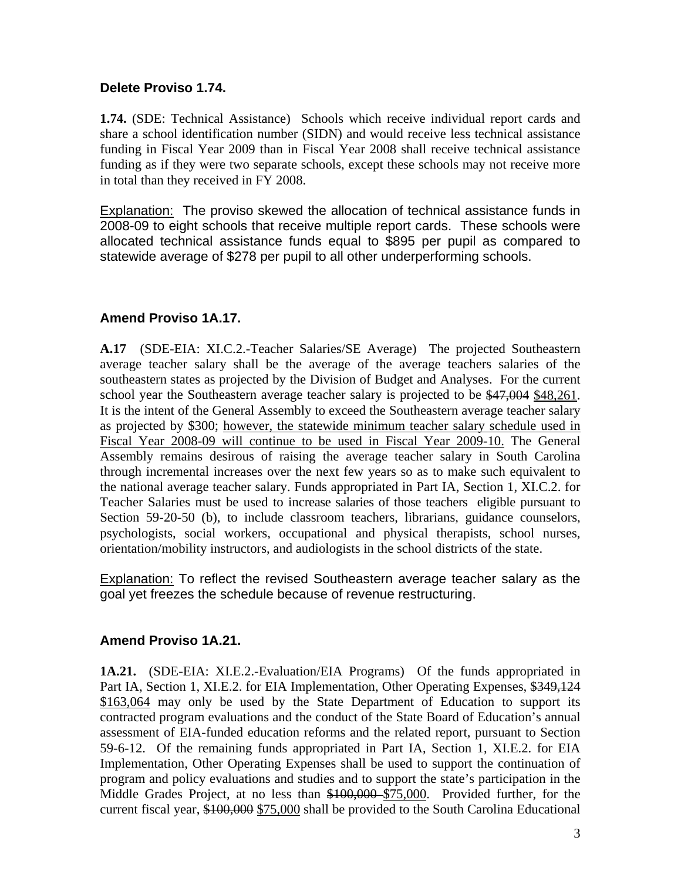#### **Delete Proviso 1.74.**

**1.74.** (SDE: Technical Assistance) Schools which receive individual report cards and share a school identification number (SIDN) and would receive less technical assistance funding in Fiscal Year 2009 than in Fiscal Year 2008 shall receive technical assistance funding as if they were two separate schools, except these schools may not receive more in total than they received in FY 2008.

Explanation: The proviso skewed the allocation of technical assistance funds in 2008-09 to eight schools that receive multiple report cards. These schools were allocated technical assistance funds equal to \$895 per pupil as compared to statewide average of \$278 per pupil to all other underperforming schools.

#### **Amend Proviso 1A.17.**

**A.17** (SDE-EIA: XI.C.2.-Teacher Salaries/SE Average) The projected Southeastern average teacher salary shall be the average of the average teachers salaries of the southeastern states as projected by the Division of Budget and Analyses. For the current school year the Southeastern average teacher salary is projected to be \$47,004 \$48,261. It is the intent of the General Assembly to exceed the Southeastern average teacher salary as projected by \$300; however, the statewide minimum teacher salary schedule used in Fiscal Year 2008-09 will continue to be used in Fiscal Year 2009-10. The General Assembly remains desirous of raising the average teacher salary in South Carolina through incremental increases over the next few years so as to make such equivalent to the national average teacher salary. Funds appropriated in Part IA, Section 1, XI.C.2. for Teacher Salaries must be used to increase salaries of those teachers eligible pursuant to Section 59-20-50 (b), to include classroom teachers, librarians, guidance counselors, psychologists, social workers, occupational and physical therapists, school nurses, orientation/mobility instructors, and audiologists in the school districts of the state.

Explanation: To reflect the revised Southeastern average teacher salary as the goal yet freezes the schedule because of revenue restructuring.

#### **Amend Proviso 1A.21.**

**1A.21.** (SDE-EIA: XI.E.2.-Evaluation/EIA Programs) Of the funds appropriated in Part IA, Section 1, XI.E.2. for EIA Implementation, Other Operating Expenses, \$349,124 \$163,064 may only be used by the State Department of Education to support its contracted program evaluations and the conduct of the State Board of Education's annual assessment of EIA-funded education reforms and the related report, pursuant to Section 59-6-12. Of the remaining funds appropriated in Part IA, Section 1, XI.E.2. for EIA Implementation, Other Operating Expenses shall be used to support the continuation of program and policy evaluations and studies and to support the state's participation in the Middle Grades Project, at no less than \$100,000 \$75,000. Provided further, for the current fiscal year, \$100,000 \$75,000 shall be provided to the South Carolina Educational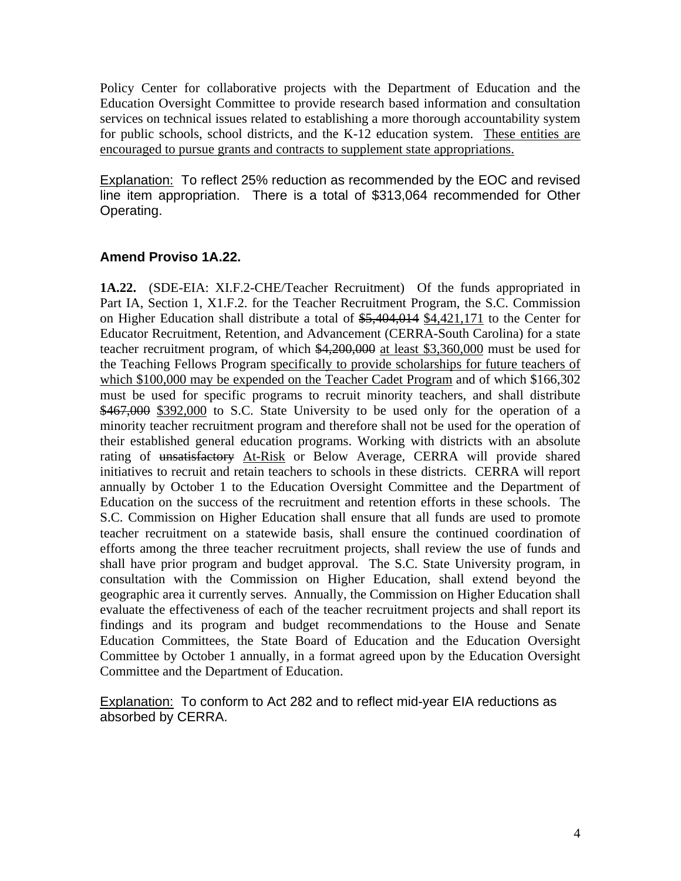Policy Center for collaborative projects with the Department of Education and the Education Oversight Committee to provide research based information and consultation services on technical issues related to establishing a more thorough accountability system for public schools, school districts, and the K-12 education system. These entities are encouraged to pursue grants and contracts to supplement state appropriations.

**Explanation:** To reflect 25% reduction as recommended by the EOC and revised line item appropriation. There is a total of \$313,064 recommended for Other Operating.

#### **Amend Proviso 1A.22.**

**1A.22.** (SDE-EIA: XI.F.2-CHE/Teacher Recruitment) Of the funds appropriated in Part IA, Section 1, X1.F.2. for the Teacher Recruitment Program, the S.C. Commission on Higher Education shall distribute a total of \$5,404,014 \$4,421,171 to the Center for Educator Recruitment, Retention, and Advancement (CERRA-South Carolina) for a state teacher recruitment program, of which \$4,200,000 at least \$3,360,000 must be used for the Teaching Fellows Program specifically to provide scholarships for future teachers of which \$100,000 may be expended on the Teacher Cadet Program and of which \$166,302 must be used for specific programs to recruit minority teachers, and shall distribute \$467,000 \$392,000 to S.C. State University to be used only for the operation of a minority teacher recruitment program and therefore shall not be used for the operation of their established general education programs. Working with districts with an absolute rating of unsatisfactory At-Risk or Below Average, CERRA will provide shared initiatives to recruit and retain teachers to schools in these districts. CERRA will report annually by October 1 to the Education Oversight Committee and the Department of Education on the success of the recruitment and retention efforts in these schools. The S.C. Commission on Higher Education shall ensure that all funds are used to promote teacher recruitment on a statewide basis, shall ensure the continued coordination of efforts among the three teacher recruitment projects, shall review the use of funds and shall have prior program and budget approval. The S.C. State University program, in consultation with the Commission on Higher Education, shall extend beyond the geographic area it currently serves. Annually, the Commission on Higher Education shall evaluate the effectiveness of each of the teacher recruitment projects and shall report its findings and its program and budget recommendations to the House and Senate Education Committees, the State Board of Education and the Education Oversight Committee by October 1 annually, in a format agreed upon by the Education Oversight Committee and the Department of Education.

**Explanation:** To conform to Act 282 and to reflect mid-year EIA reductions as absorbed by CERRA.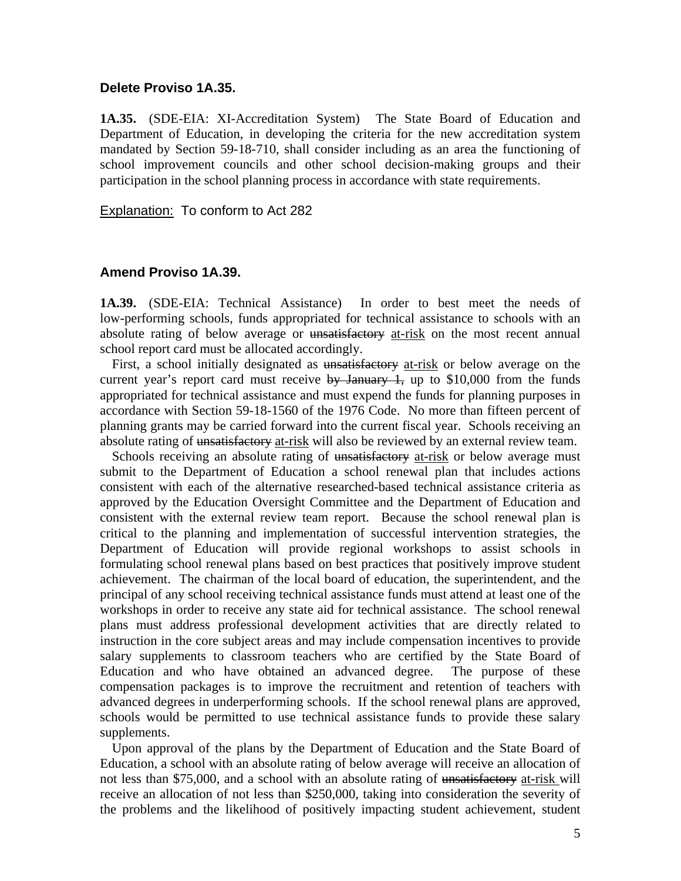#### **Delete Proviso 1A.35.**

**1A.35.** (SDE-EIA: XI-Accreditation System) The State Board of Education and Department of Education, in developing the criteria for the new accreditation system mandated by Section 59-18-710, shall consider including as an area the functioning of school improvement councils and other school decision-making groups and their participation in the school planning process in accordance with state requirements.

Explanation: To conform to Act 282

#### **Amend Proviso 1A.39.**

**1A.39.** (SDE-EIA: Technical Assistance) In order to best meet the needs of low-performing schools, funds appropriated for technical assistance to schools with an absolute rating of below average or unsatisfactory at-risk on the most recent annual school report card must be allocated accordingly.

First, a school initially designated as unsatisfactory at-risk or below average on the current year's report card must receive  $\frac{1}{2}$  by January 1, up to \$10,000 from the funds appropriated for technical assistance and must expend the funds for planning purposes in accordance with Section 59-18-1560 of the 1976 Code. No more than fifteen percent of planning grants may be carried forward into the current fiscal year. Schools receiving an absolute rating of unsatisfactory at-risk will also be reviewed by an external review team.

Schools receiving an absolute rating of unsatisfactory at-risk or below average must submit to the Department of Education a school renewal plan that includes actions consistent with each of the alternative researched-based technical assistance criteria as approved by the Education Oversight Committee and the Department of Education and consistent with the external review team report. Because the school renewal plan is critical to the planning and implementation of successful intervention strategies, the Department of Education will provide regional workshops to assist schools in formulating school renewal plans based on best practices that positively improve student achievement. The chairman of the local board of education, the superintendent, and the principal of any school receiving technical assistance funds must attend at least one of the workshops in order to receive any state aid for technical assistance. The school renewal plans must address professional development activities that are directly related to instruction in the core subject areas and may include compensation incentives to provide salary supplements to classroom teachers who are certified by the State Board of Education and who have obtained an advanced degree. The purpose of these compensation packages is to improve the recruitment and retention of teachers with advanced degrees in underperforming schools. If the school renewal plans are approved, schools would be permitted to use technical assistance funds to provide these salary supplements.

 Upon approval of the plans by the Department of Education and the State Board of Education, a school with an absolute rating of below average will receive an allocation of not less than \$75,000, and a school with an absolute rating of unsatisfactory at-risk will receive an allocation of not less than \$250,000, taking into consideration the severity of the problems and the likelihood of positively impacting student achievement, student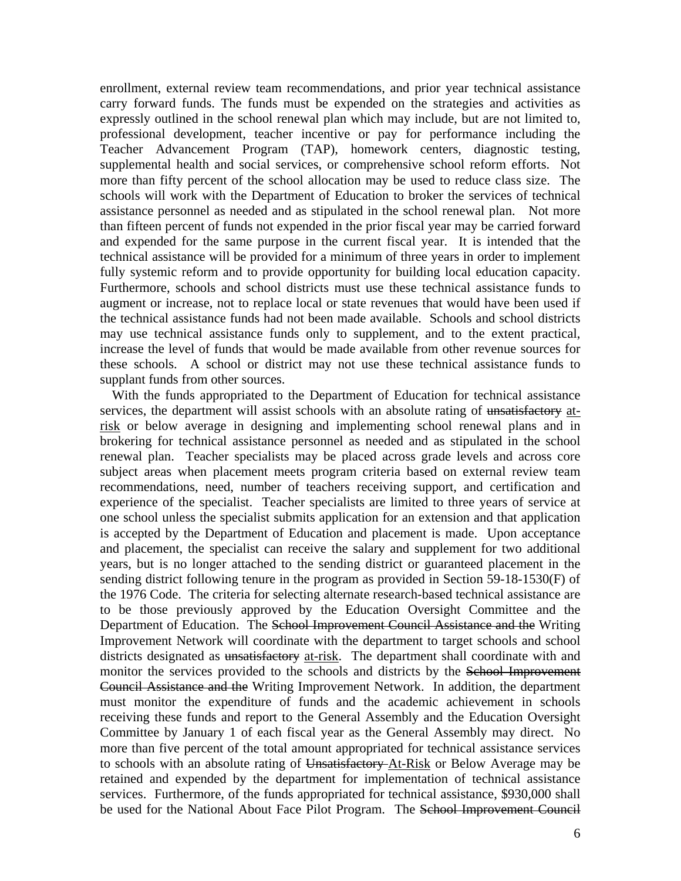enrollment, external review team recommendations, and prior year technical assistance carry forward funds. The funds must be expended on the strategies and activities as expressly outlined in the school renewal plan which may include, but are not limited to, professional development, teacher incentive or pay for performance including the Teacher Advancement Program (TAP), homework centers, diagnostic testing, supplemental health and social services, or comprehensive school reform efforts. Not more than fifty percent of the school allocation may be used to reduce class size. The schools will work with the Department of Education to broker the services of technical assistance personnel as needed and as stipulated in the school renewal plan. Not more than fifteen percent of funds not expended in the prior fiscal year may be carried forward and expended for the same purpose in the current fiscal year. It is intended that the technical assistance will be provided for a minimum of three years in order to implement fully systemic reform and to provide opportunity for building local education capacity. Furthermore, schools and school districts must use these technical assistance funds to augment or increase, not to replace local or state revenues that would have been used if the technical assistance funds had not been made available. Schools and school districts may use technical assistance funds only to supplement, and to the extent practical, increase the level of funds that would be made available from other revenue sources for these schools. A school or district may not use these technical assistance funds to supplant funds from other sources.

 With the funds appropriated to the Department of Education for technical assistance services, the department will assist schools with an absolute rating of unsatisfactory atrisk or below average in designing and implementing school renewal plans and in brokering for technical assistance personnel as needed and as stipulated in the school renewal plan. Teacher specialists may be placed across grade levels and across core subject areas when placement meets program criteria based on external review team recommendations, need, number of teachers receiving support, and certification and experience of the specialist. Teacher specialists are limited to three years of service at one school unless the specialist submits application for an extension and that application is accepted by the Department of Education and placement is made. Upon acceptance and placement, the specialist can receive the salary and supplement for two additional years, but is no longer attached to the sending district or guaranteed placement in the sending district following tenure in the program as provided in Section 59-18-1530(F) of the 1976 Code. The criteria for selecting alternate research-based technical assistance are to be those previously approved by the Education Oversight Committee and the Department of Education. The Sehool Improvement Council Assistance and the Writing Improvement Network will coordinate with the department to target schools and school districts designated as unsatisfactory at-risk. The department shall coordinate with and monitor the services provided to the schools and districts by the School Improvement Council Assistance and the Writing Improvement Network. In addition, the department must monitor the expenditure of funds and the academic achievement in schools receiving these funds and report to the General Assembly and the Education Oversight Committee by January 1 of each fiscal year as the General Assembly may direct. No more than five percent of the total amount appropriated for technical assistance services to schools with an absolute rating of Unsatisfactory At-Risk or Below Average may be retained and expended by the department for implementation of technical assistance services. Furthermore, of the funds appropriated for technical assistance, \$930,000 shall be used for the National About Face Pilot Program. The School Improvement Council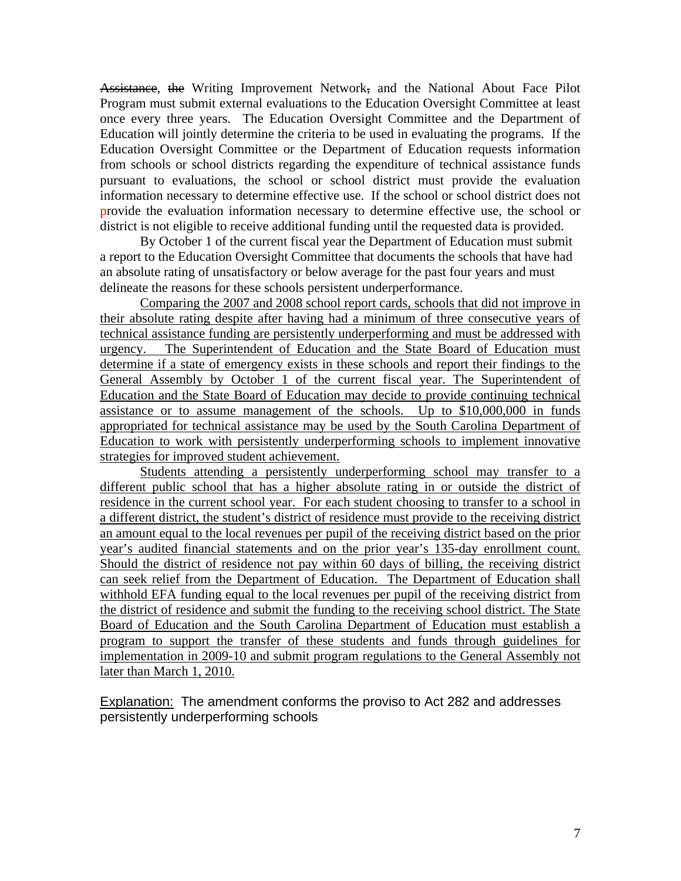Assistance, the Writing Improvement Network, and the National About Face Pilot Program must submit external evaluations to the Education Oversight Committee at least once every three years. The Education Oversight Committee and the Department of Education will jointly determine the criteria to be used in evaluating the programs. If the Education Oversight Committee or the Department of Education requests information from schools or school districts regarding the expenditure of technical assistance funds pursuant to evaluations, the school or school district must provide the evaluation information necessary to determine effective use. If the school or school district does not provide the evaluation information necessary to determine effective use, the school or district is not eligible to receive additional funding until the requested data is provided.

 By October 1 of the current fiscal year the Department of Education must submit a report to the Education Oversight Committee that documents the schools that have had an absolute rating of unsatisfactory or below average for the past four years and must delineate the reasons for these schools persistent underperformance.

 Comparing the 2007 and 2008 school report cards, schools that did not improve in their absolute rating despite after having had a minimum of three consecutive years of technical assistance funding are persistently underperforming and must be addressed with urgency. The Superintendent of Education and the State Board of Education must determine if a state of emergency exists in these schools and report their findings to the General Assembly by October 1 of the current fiscal year. The Superintendent of Education and the State Board of Education may decide to provide continuing technical assistance or to assume management of the schools. Up to \$10,000,000 in funds appropriated for technical assistance may be used by the South Carolina Department of Education to work with persistently underperforming schools to implement innovative strategies for improved student achievement.

 Students attending a persistently underperforming school may transfer to a different public school that has a higher absolute rating in or outside the district of residence in the current school year. For each student choosing to transfer to a school in a different district, the student's district of residence must provide to the receiving district an amount equal to the local revenues per pupil of the receiving district based on the prior year's audited financial statements and on the prior year's 135-day enrollment count. Should the district of residence not pay within 60 days of billing, the receiving district can seek relief from the Department of Education. The Department of Education shall withhold EFA funding equal to the local revenues per pupil of the receiving district from the district of residence and submit the funding to the receiving school district. The State Board of Education and the South Carolina Department of Education must establish a program to support the transfer of these students and funds through guidelines for implementation in 2009-10 and submit program regulations to the General Assembly not later than March 1, 2010.

Explanation: The amendment conforms the proviso to Act 282 and addresses persistently underperforming schools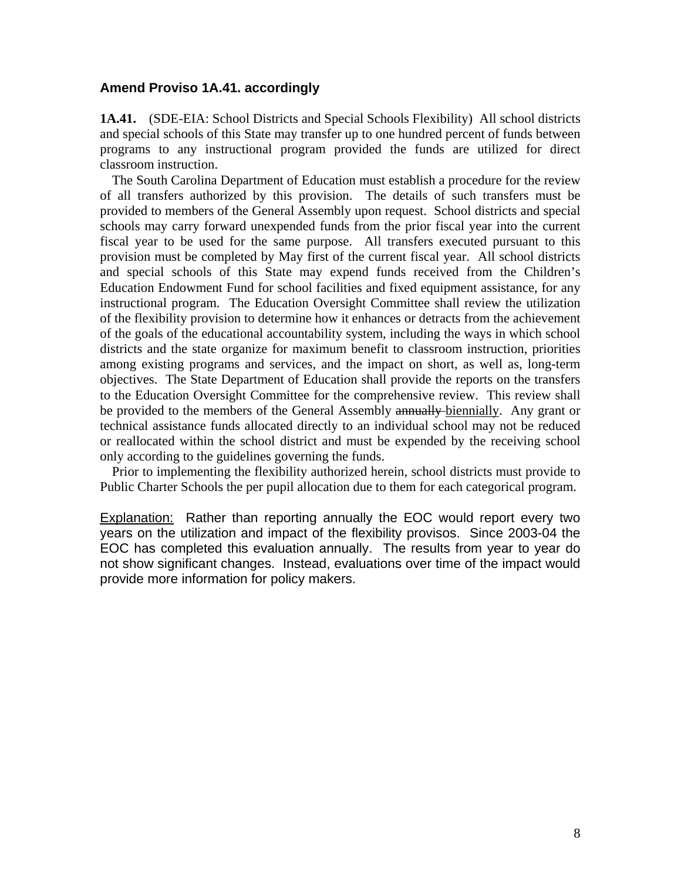#### **Amend Proviso 1A.41. accordingly**

**1A.41.** (SDE-EIA: School Districts and Special Schools Flexibility) All school districts and special schools of this State may transfer up to one hundred percent of funds between programs to any instructional program provided the funds are utilized for direct classroom instruction.

 The South Carolina Department of Education must establish a procedure for the review of all transfers authorized by this provision. The details of such transfers must be provided to members of the General Assembly upon request. School districts and special schools may carry forward unexpended funds from the prior fiscal year into the current fiscal year to be used for the same purpose. All transfers executed pursuant to this provision must be completed by May first of the current fiscal year. All school districts and special schools of this State may expend funds received from the Children's Education Endowment Fund for school facilities and fixed equipment assistance, for any instructional program. The Education Oversight Committee shall review the utilization of the flexibility provision to determine how it enhances or detracts from the achievement of the goals of the educational accountability system, including the ways in which school districts and the state organize for maximum benefit to classroom instruction, priorities among existing programs and services, and the impact on short, as well as, long-term objectives. The State Department of Education shall provide the reports on the transfers to the Education Oversight Committee for the comprehensive review. This review shall be provided to the members of the General Assembly annually-biennially. Any grant or technical assistance funds allocated directly to an individual school may not be reduced or reallocated within the school district and must be expended by the receiving school only according to the guidelines governing the funds.

 Prior to implementing the flexibility authorized herein, school districts must provide to Public Charter Schools the per pupil allocation due to them for each categorical program.

**Explanation:** Rather than reporting annually the EOC would report every two years on the utilization and impact of the flexibility provisos. Since 2003-04 the EOC has completed this evaluation annually. The results from year to year do not show significant changes. Instead, evaluations over time of the impact would provide more information for policy makers.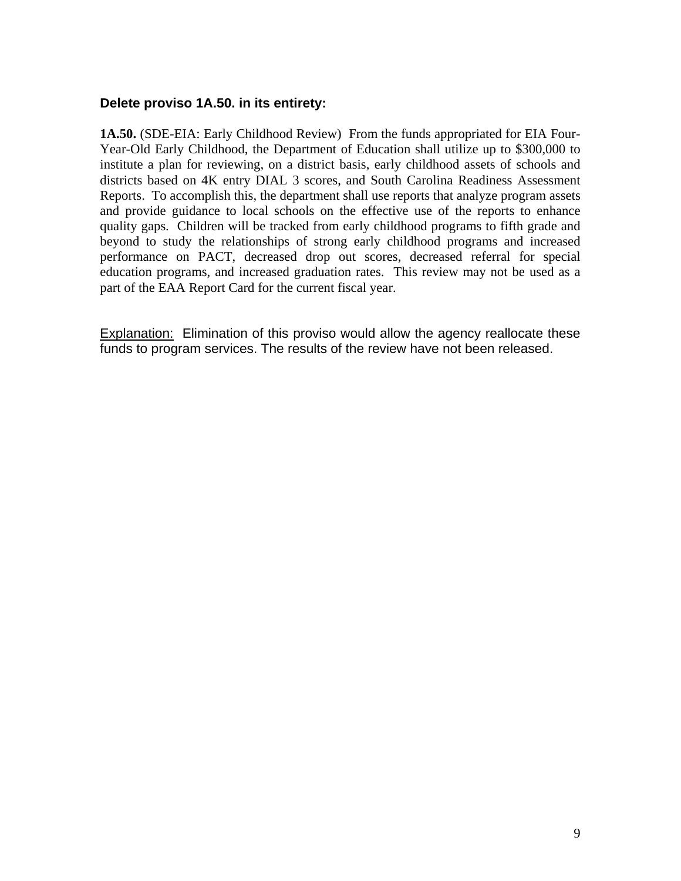#### **Delete proviso 1A.50. in its entirety:**

**1A.50.** (SDE-EIA: Early Childhood Review) From the funds appropriated for EIA Four-Year-Old Early Childhood, the Department of Education shall utilize up to \$300,000 to institute a plan for reviewing, on a district basis, early childhood assets of schools and districts based on 4K entry DIAL 3 scores, and South Carolina Readiness Assessment Reports. To accomplish this, the department shall use reports that analyze program assets and provide guidance to local schools on the effective use of the reports to enhance quality gaps. Children will be tracked from early childhood programs to fifth grade and beyond to study the relationships of strong early childhood programs and increased performance on PACT, decreased drop out scores, decreased referral for special education programs, and increased graduation rates. This review may not be used as a part of the EAA Report Card for the current fiscal year.

Explanation: Elimination of this proviso would allow the agency reallocate these funds to program services. The results of the review have not been released.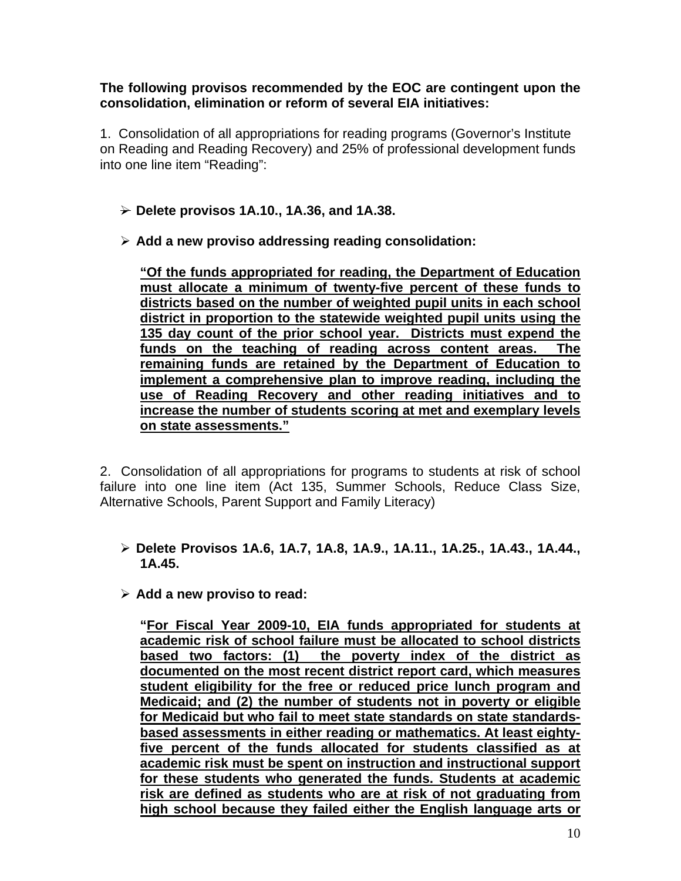#### **The following provisos recommended by the EOC are contingent upon the consolidation, elimination or reform of several EIA initiatives:**

1. Consolidation of all appropriations for reading programs (Governor's Institute on Reading and Reading Recovery) and 25% of professional development funds into one line item "Reading":

- ¾ **Delete provisos 1A.10., 1A.36, and 1A.38.**
- ¾ **Add a new proviso addressing reading consolidation:**

**"Of the funds appropriated for reading, the Department of Education must allocate a minimum of twenty-five percent of these funds to districts based on the number of weighted pupil units in each school district in proportion to the statewide weighted pupil units using the 135 day count of the prior school year. Districts must expend the funds on the teaching of reading across content areas. The remaining funds are retained by the Department of Education to implement a comprehensive plan to improve reading, including the use of Reading Recovery and other reading initiatives and to increase the number of students scoring at met and exemplary levels on state assessments."**

2. Consolidation of all appropriations for programs to students at risk of school failure into one line item (Act 135, Summer Schools, Reduce Class Size, Alternative Schools, Parent Support and Family Literacy)

- ¾ **Delete Provisos 1A.6, 1A.7, 1A.8, 1A.9., 1A.11., 1A.25., 1A.43., 1A.44., 1A.45.**
- ¾ **Add a new proviso to read:**

**"For Fiscal Year 2009-10, EIA funds appropriated for students at academic risk of school failure must be allocated to school districts based two factors: (1) the poverty index of the district as documented on the most recent district report card, which measures student eligibility for the free or reduced price lunch program and Medicaid; and (2) the number of students not in poverty or eligible for Medicaid but who fail to meet state standards on state standardsbased assessments in either reading or mathematics. At least eightyfive percent of the funds allocated for students classified as at academic risk must be spent on instruction and instructional support for these students who generated the funds. Students at academic risk are defined as students who are at risk of not graduating from high school because they failed either the English language arts or**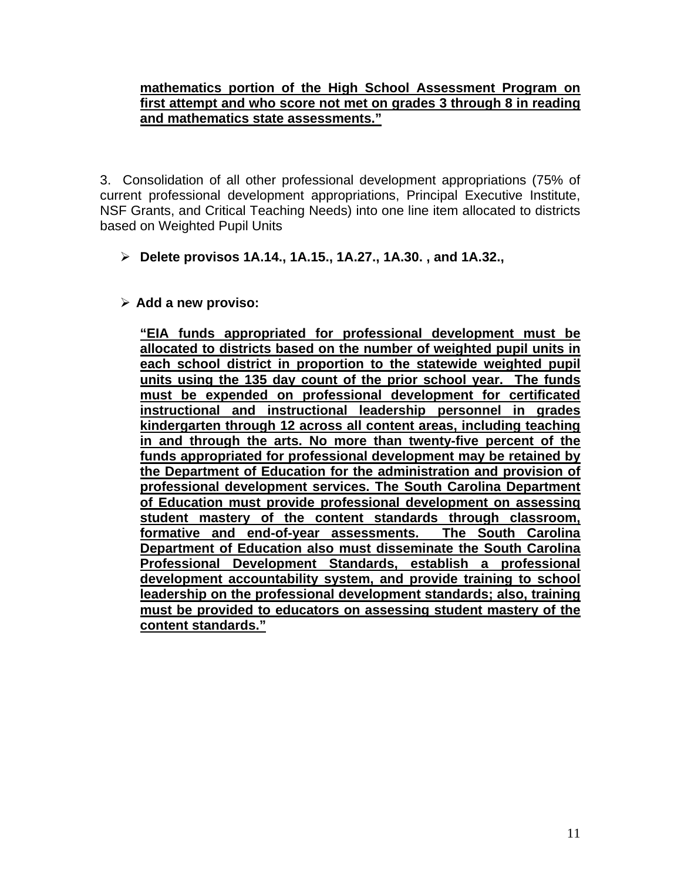#### **mathematics portion of the High School Assessment Program on first attempt and who score not met on grades 3 through 8 in reading and mathematics state assessments."**

3. Consolidation of all other professional development appropriations (75% of current professional development appropriations, Principal Executive Institute, NSF Grants, and Critical Teaching Needs) into one line item allocated to districts based on Weighted Pupil Units

- ¾ **Delete provisos 1A.14., 1A.15., 1A.27., 1A.30. , and 1A.32.,**
- ¾ **Add a new proviso:**

**"EIA funds appropriated for professional development must be allocated to districts based on the number of weighted pupil units in each school district in proportion to the statewide weighted pupil units using the 135 day count of the prior school year. The funds must be expended on professional development for certificated instructional and instructional leadership personnel in grades kindergarten through 12 across all content areas, including teaching in and through the arts. No more than twenty-five percent of the funds appropriated for professional development may be retained by the Department of Education for the administration and provision of professional development services. The South Carolina Department of Education must provide professional development on assessing student mastery of the content standards through classroom, formative and end-of-year assessments. The South Carolina Department of Education also must disseminate the South Carolina Professional Development Standards, establish a professional development accountability system, and provide training to school leadership on the professional development standards; also, training must be provided to educators on assessing student mastery of the content standards."**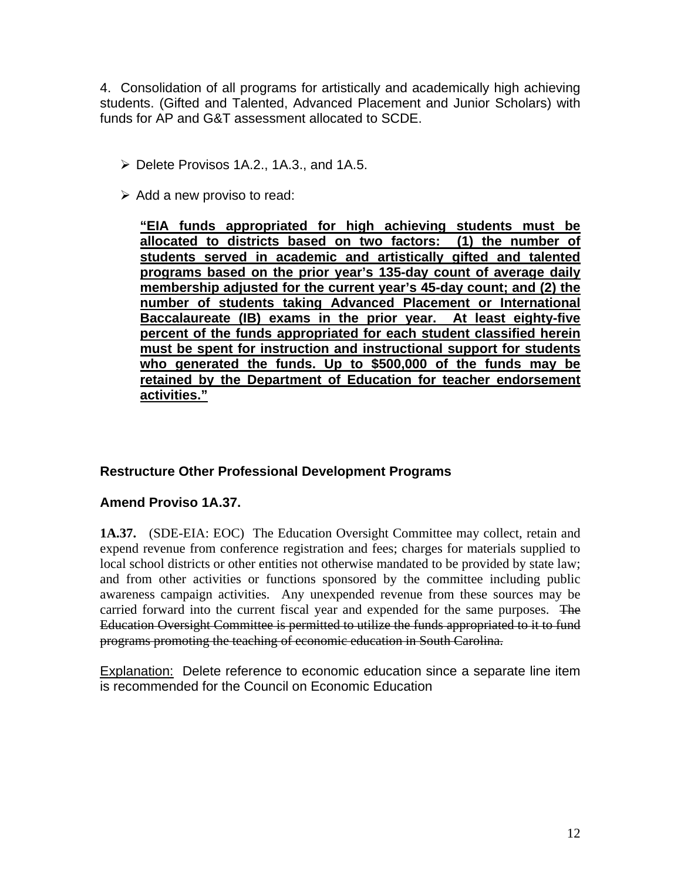4. Consolidation of all programs for artistically and academically high achieving students. (Gifted and Talented, Advanced Placement and Junior Scholars) with funds for AP and G&T assessment allocated to SCDE.

- $\triangleright$  Delete Provisos 1A.2., 1A.3., and 1A.5.
- $\triangleright$  Add a new proviso to read:

**"EIA funds appropriated for high achieving students must be allocated to districts based on two factors: (1) the number of students served in academic and artistically gifted and talented programs based on the prior year's 135-day count of average daily membership adjusted for the current year's 45-day count; and (2) the number of students taking Advanced Placement or International Baccalaureate (IB) exams in the prior year. At least eighty-five percent of the funds appropriated for each student classified herein must be spent for instruction and instructional support for students who generated the funds. Up to \$500,000 of the funds may be retained by the Department of Education for teacher endorsement activities."**

#### **Restructure Other Professional Development Programs**

#### **Amend Proviso 1A.37.**

**1A.37.** (SDE-EIA: EOC) The Education Oversight Committee may collect, retain and expend revenue from conference registration and fees; charges for materials supplied to local school districts or other entities not otherwise mandated to be provided by state law; and from other activities or functions sponsored by the committee including public awareness campaign activities. Any unexpended revenue from these sources may be carried forward into the current fiscal year and expended for the same purposes. The Education Oversight Committee is permitted to utilize the funds appropriated to it to fund programs promoting the teaching of economic education in South Carolina.

Explanation: Delete reference to economic education since a separate line item is recommended for the Council on Economic Education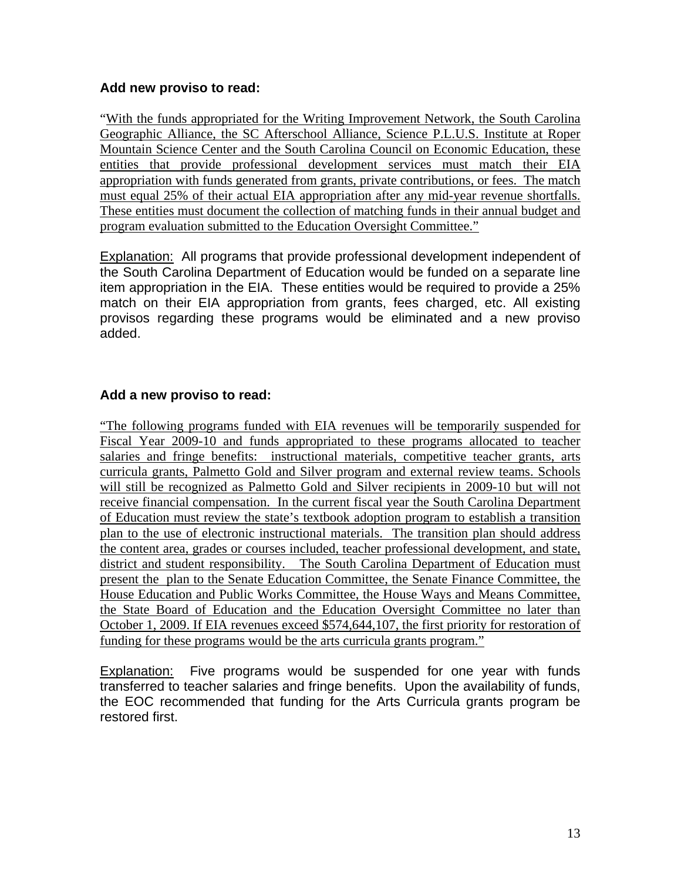#### **Add new proviso to read:**

"With the funds appropriated for the Writing Improvement Network, the South Carolina Geographic Alliance, the SC Afterschool Alliance, Science P.L.U.S. Institute at Roper Mountain Science Center and the South Carolina Council on Economic Education, these entities that provide professional development services must match their EIA appropriation with funds generated from grants, private contributions, or fees. The match must equal 25% of their actual EIA appropriation after any mid-year revenue shortfalls. These entities must document the collection of matching funds in their annual budget and program evaluation submitted to the Education Oversight Committee."

**Explanation:** All programs that provide professional development independent of the South Carolina Department of Education would be funded on a separate line item appropriation in the EIA. These entities would be required to provide a 25% match on their EIA appropriation from grants, fees charged, etc. All existing provisos regarding these programs would be eliminated and a new proviso added.

#### **Add a new proviso to read:**

"The following programs funded with EIA revenues will be temporarily suspended for Fiscal Year 2009-10 and funds appropriated to these programs allocated to teacher salaries and fringe benefits: instructional materials, competitive teacher grants, arts curricula grants, Palmetto Gold and Silver program and external review teams. Schools will still be recognized as Palmetto Gold and Silver recipients in 2009-10 but will not receive financial compensation. In the current fiscal year the South Carolina Department of Education must review the state's textbook adoption program to establish a transition plan to the use of electronic instructional materials. The transition plan should address the content area, grades or courses included, teacher professional development, and state, district and student responsibility. The South Carolina Department of Education must present the plan to the Senate Education Committee, the Senate Finance Committee, the House Education and Public Works Committee, the House Ways and Means Committee, the State Board of Education and the Education Oversight Committee no later than October 1, 2009. If EIA revenues exceed \$574,644,107, the first priority for restoration of funding for these programs would be the arts curricula grants program."

Explanation: Five programs would be suspended for one year with funds transferred to teacher salaries and fringe benefits. Upon the availability of funds, the EOC recommended that funding for the Arts Curricula grants program be restored first.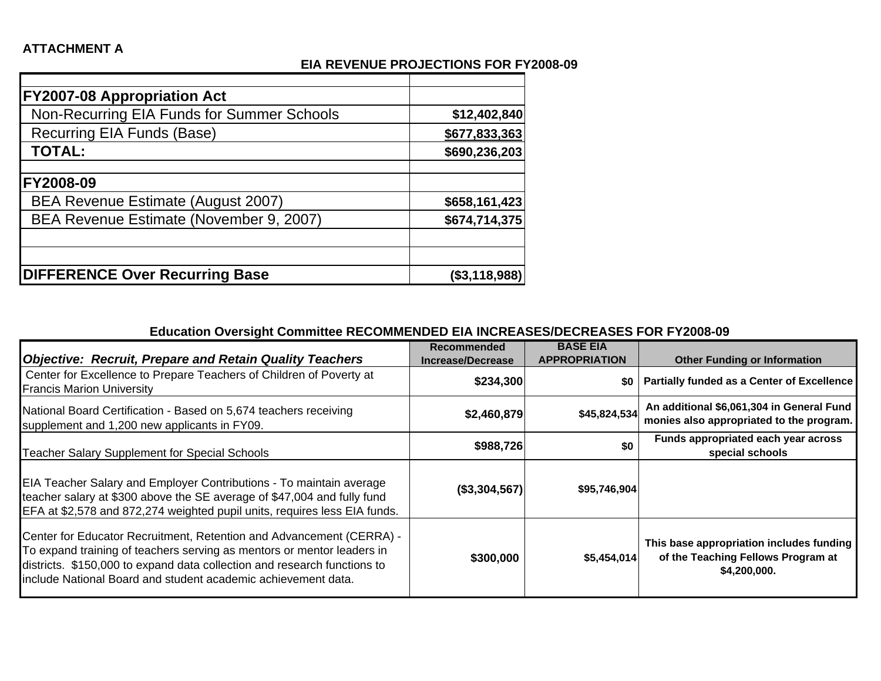#### **EIA REVENUE PROJECTIONS FOR FY2008-09**

| <b>FY2007-08 Appropriation Act</b>         |               |
|--------------------------------------------|---------------|
| Non-Recurring EIA Funds for Summer Schools | \$12,402,840  |
| Recurring EIA Funds (Base)                 | \$677,833,363 |
| <b>TOTAL:</b>                              | \$690,236,203 |
|                                            |               |
| FY2008-09                                  |               |
| BEA Revenue Estimate (August 2007)         | \$658,161,423 |
| BEA Revenue Estimate (November 9, 2007)    | \$674,714,375 |
|                                            |               |
|                                            |               |
| <b>DIFFERENCE Over Recurring Base</b>      | (\$3,118,988) |

#### **Education Oversight Committee RECOMMENDED EIA INCREASES/DECREASES FOR FY2008-09**

|                                                                                                                                                                                                                                                                                             | <b>Recommended</b>       | <b>BASE EIA</b>      |                                                                                                |
|---------------------------------------------------------------------------------------------------------------------------------------------------------------------------------------------------------------------------------------------------------------------------------------------|--------------------------|----------------------|------------------------------------------------------------------------------------------------|
| <b>Objective: Recruit, Prepare and Retain Quality Teachers</b>                                                                                                                                                                                                                              | <b>Increase/Decrease</b> | <b>APPROPRIATION</b> | <b>Other Funding or Information</b>                                                            |
| Center for Excellence to Prepare Teachers of Children of Poverty at<br><b>Francis Marion University</b>                                                                                                                                                                                     | \$234,300                | <b>SO</b> 1          | Partially funded as a Center of Excellence                                                     |
| National Board Certification - Based on 5,674 teachers receiving<br>supplement and 1,200 new applicants in FY09.                                                                                                                                                                            | \$2,460,879              | \$45,824,534         | An additional \$6,061,304 in General Fund<br>monies also appropriated to the program.          |
| Teacher Salary Supplement for Special Schools                                                                                                                                                                                                                                               | \$988,726                | \$0                  | Funds appropriated each year across<br>special schools                                         |
| EIA Teacher Salary and Employer Contributions - To maintain average<br>teacher salary at \$300 above the SE average of \$47,004 and fully fund<br>EFA at \$2,578 and 872,274 weighted pupil units, requires less EIA funds.                                                                 | (\$3,304,567)            | \$95,746,904         |                                                                                                |
| Center for Educator Recruitment, Retention and Advancement (CERRA) -<br>To expand training of teachers serving as mentors or mentor leaders in<br>districts. \$150,000 to expand data collection and research functions to<br>include National Board and student academic achievement data. | \$300,000                | \$5,454,014          | This base appropriation includes funding<br>of the Teaching Fellows Program at<br>\$4,200,000. |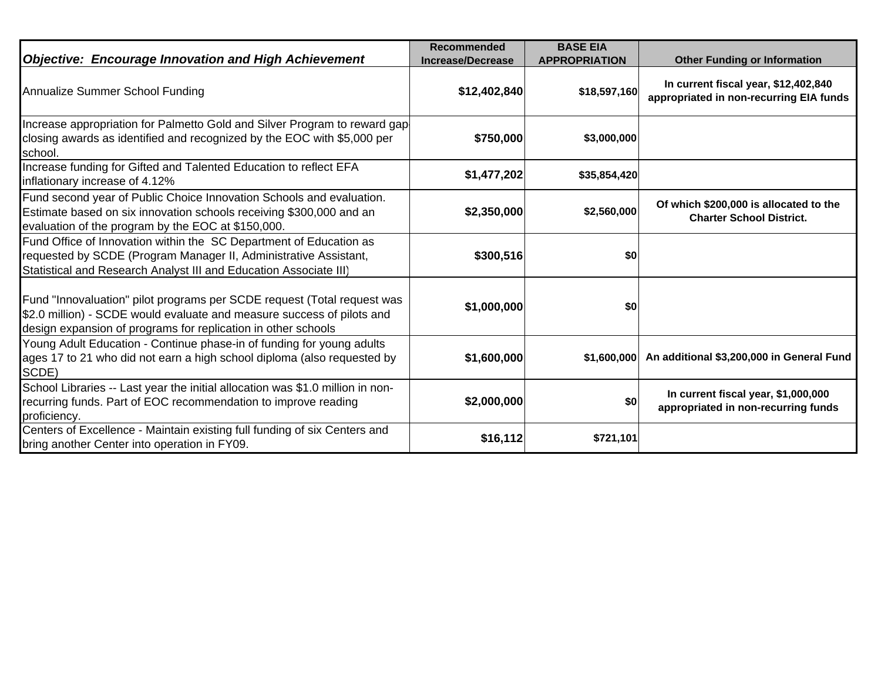| <b>Objective: Encourage Innovation and High Achievement</b>                                                                                                                                                        | <b>Recommended</b><br><b>Increase/Decrease</b> | <b>BASE EIA</b><br><b>APPROPRIATION</b> | <b>Other Funding or Information</b>                                             |
|--------------------------------------------------------------------------------------------------------------------------------------------------------------------------------------------------------------------|------------------------------------------------|-----------------------------------------|---------------------------------------------------------------------------------|
| Annualize Summer School Funding                                                                                                                                                                                    | \$12,402,840                                   | \$18,597,160                            | In current fiscal year, \$12,402,840<br>appropriated in non-recurring EIA funds |
| Increase appropriation for Palmetto Gold and Silver Program to reward gap<br>closing awards as identified and recognized by the EOC with \$5,000 per<br>school.                                                    | \$750,000                                      | \$3,000,000                             |                                                                                 |
| Increase funding for Gifted and Talented Education to reflect EFA<br>inflationary increase of 4.12%                                                                                                                | \$1,477,202                                    | \$35,854,420                            |                                                                                 |
| Fund second year of Public Choice Innovation Schools and evaluation.<br>Estimate based on six innovation schools receiving \$300,000 and an<br>evaluation of the program by the EOC at \$150,000.                  | \$2,350,000                                    | \$2,560,000                             | Of which \$200,000 is allocated to the<br><b>Charter School District.</b>       |
| Fund Office of Innovation within the SC Department of Education as<br>requested by SCDE (Program Manager II, Administrative Assistant,<br>Statistical and Research Analyst III and Education Associate III)        | \$300,516                                      | \$0                                     |                                                                                 |
| Fund "Innovaluation" pilot programs per SCDE request (Total request was<br>\$2.0 million) - SCDE would evaluate and measure success of pilots and<br>design expansion of programs for replication in other schools | \$1,000,000                                    | \$0                                     |                                                                                 |
| Young Adult Education - Continue phase-in of funding for young adults<br>ages 17 to 21 who did not earn a high school diploma (also requested by<br>SCDE)                                                          | \$1,600,000                                    | \$1,600,000                             | An additional \$3,200,000 in General Fund                                       |
| School Libraries -- Last year the initial allocation was \$1.0 million in non-<br>recurring funds. Part of EOC recommendation to improve reading<br>proficiency.                                                   | \$2,000,000                                    | \$0                                     | In current fiscal year, \$1,000,000<br>appropriated in non-recurring funds      |
| Centers of Excellence - Maintain existing full funding of six Centers and<br>bring another Center into operation in FY09.                                                                                          | \$16,112                                       | \$721,101                               |                                                                                 |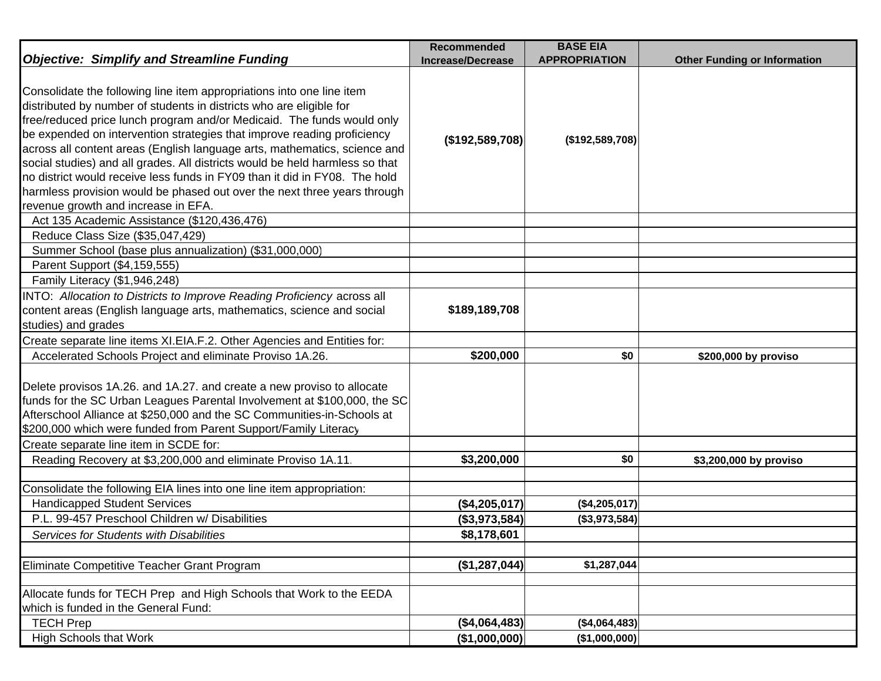|                                                                                                                                                                                                                                                                                                                                                                                                                                                                                                                                                                                                                                                                 | Recommended                    | <b>BASE EIA</b>      |                                     |
|-----------------------------------------------------------------------------------------------------------------------------------------------------------------------------------------------------------------------------------------------------------------------------------------------------------------------------------------------------------------------------------------------------------------------------------------------------------------------------------------------------------------------------------------------------------------------------------------------------------------------------------------------------------------|--------------------------------|----------------------|-------------------------------------|
| <b>Objective: Simplify and Streamline Funding</b>                                                                                                                                                                                                                                                                                                                                                                                                                                                                                                                                                                                                               | <b>Increase/Decrease</b>       | <b>APPROPRIATION</b> | <b>Other Funding or Information</b> |
| Consolidate the following line item appropriations into one line item<br>distributed by number of students in districts who are eligible for<br>free/reduced price lunch program and/or Medicaid. The funds would only<br>be expended on intervention strategies that improve reading proficiency<br>across all content areas (English language arts, mathematics, science and<br>social studies) and all grades. All districts would be held harmless so that<br>no district would receive less funds in FY09 than it did in FY08. The hold<br>harmless provision would be phased out over the next three years through<br>revenue growth and increase in EFA. | $($ \$192,589,708)             | (\$192,589,708)      |                                     |
| Act 135 Academic Assistance (\$120,436,476)                                                                                                                                                                                                                                                                                                                                                                                                                                                                                                                                                                                                                     |                                |                      |                                     |
| Reduce Class Size (\$35,047,429)                                                                                                                                                                                                                                                                                                                                                                                                                                                                                                                                                                                                                                |                                |                      |                                     |
| Summer School (base plus annualization) (\$31,000,000)                                                                                                                                                                                                                                                                                                                                                                                                                                                                                                                                                                                                          |                                |                      |                                     |
| Parent Support (\$4,159,555)                                                                                                                                                                                                                                                                                                                                                                                                                                                                                                                                                                                                                                    |                                |                      |                                     |
| Family Literacy (\$1,946,248)                                                                                                                                                                                                                                                                                                                                                                                                                                                                                                                                                                                                                                   |                                |                      |                                     |
| INTO: Allocation to Districts to Improve Reading Proficiency across all<br>content areas (English language arts, mathematics, science and social<br>studies) and grades                                                                                                                                                                                                                                                                                                                                                                                                                                                                                         | \$189,189,708                  |                      |                                     |
| Create separate line items XI.EIA.F.2. Other Agencies and Entities for:                                                                                                                                                                                                                                                                                                                                                                                                                                                                                                                                                                                         |                                |                      |                                     |
| Accelerated Schools Project and eliminate Proviso 1A.26.                                                                                                                                                                                                                                                                                                                                                                                                                                                                                                                                                                                                        | \$200,000                      | \$0                  | \$200,000 by proviso                |
| Delete provisos 1A.26. and 1A.27. and create a new proviso to allocate<br>funds for the SC Urban Leagues Parental Involvement at \$100,000, the SC<br>Afterschool Alliance at \$250,000 and the SC Communities-in-Schools at<br>\$200,000 which were funded from Parent Support/Family Literacy                                                                                                                                                                                                                                                                                                                                                                 |                                |                      |                                     |
| Create separate line item in SCDE for:                                                                                                                                                                                                                                                                                                                                                                                                                                                                                                                                                                                                                          |                                |                      |                                     |
| Reading Recovery at \$3,200,000 and eliminate Proviso 1A.11                                                                                                                                                                                                                                                                                                                                                                                                                                                                                                                                                                                                     | \$3,200,000                    | \$0                  | \$3,200,000 by proviso              |
| Consolidate the following EIA lines into one line item appropriation:                                                                                                                                                                                                                                                                                                                                                                                                                                                                                                                                                                                           |                                |                      |                                     |
| <b>Handicapped Student Services</b>                                                                                                                                                                                                                                                                                                                                                                                                                                                                                                                                                                                                                             | (\$4,205,017)                  | (\$4,205,017)        |                                     |
| P.L. 99-457 Preschool Children w/ Disabilities                                                                                                                                                                                                                                                                                                                                                                                                                                                                                                                                                                                                                  | (\$3,973,584)                  | (\$3,973,584)        |                                     |
| Services for Students with Disabilities                                                                                                                                                                                                                                                                                                                                                                                                                                                                                                                                                                                                                         | \$8,178,601                    |                      |                                     |
|                                                                                                                                                                                                                                                                                                                                                                                                                                                                                                                                                                                                                                                                 |                                |                      |                                     |
| Eliminate Competitive Teacher Grant Program                                                                                                                                                                                                                                                                                                                                                                                                                                                                                                                                                                                                                     | (\$1,287,044)                  | \$1,287,044          |                                     |
|                                                                                                                                                                                                                                                                                                                                                                                                                                                                                                                                                                                                                                                                 |                                |                      |                                     |
| Allocate funds for TECH Prep and High Schools that Work to the EEDA                                                                                                                                                                                                                                                                                                                                                                                                                                                                                                                                                                                             |                                |                      |                                     |
| which is funded in the General Fund:                                                                                                                                                                                                                                                                                                                                                                                                                                                                                                                                                                                                                            |                                | $(*4,064,483)$       |                                     |
| <b>TECH Prep</b><br><b>High Schools that Work</b>                                                                                                                                                                                                                                                                                                                                                                                                                                                                                                                                                                                                               | (\$4,064,483)<br>(\$1,000,000) | (\$1,000,000)        |                                     |
|                                                                                                                                                                                                                                                                                                                                                                                                                                                                                                                                                                                                                                                                 |                                |                      |                                     |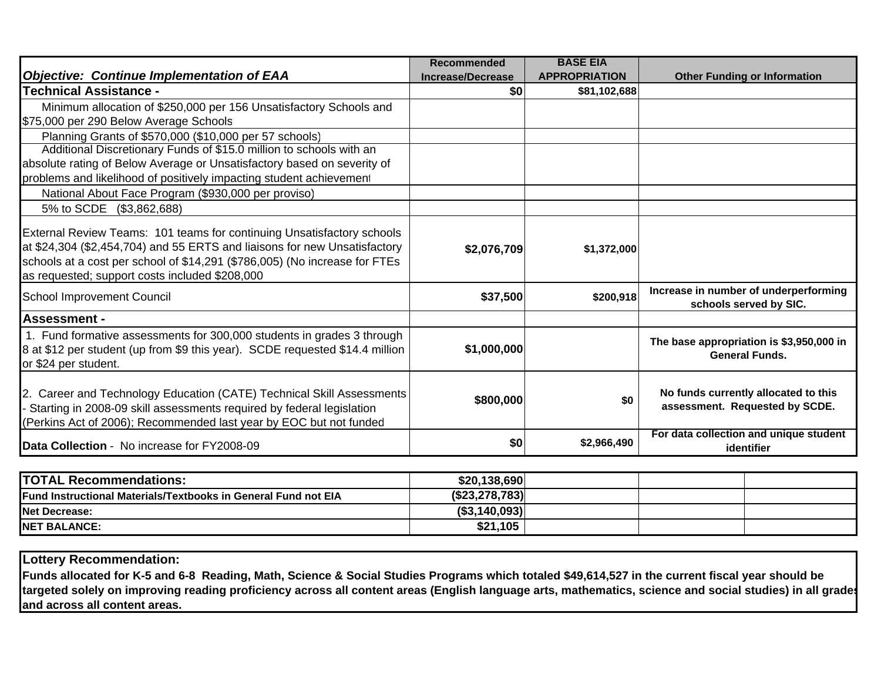| <b>Objective: Continue Implementation of EAA</b>                                                                                                                                                                                                                                    | <b>Recommended</b><br><b>Increase/Decrease</b> | <b>BASE EIA</b><br><b>APPROPRIATION</b> | <b>Other Funding or Information</b>                                    |
|-------------------------------------------------------------------------------------------------------------------------------------------------------------------------------------------------------------------------------------------------------------------------------------|------------------------------------------------|-----------------------------------------|------------------------------------------------------------------------|
| <b>Technical Assistance -</b>                                                                                                                                                                                                                                                       | \$0                                            | \$81,102,688                            |                                                                        |
| Minimum allocation of \$250,000 per 156 Unsatisfactory Schools and<br>\$75,000 per 290 Below Average Schools                                                                                                                                                                        |                                                |                                         |                                                                        |
| Planning Grants of \$570,000 (\$10,000 per 57 schools)                                                                                                                                                                                                                              |                                                |                                         |                                                                        |
| Additional Discretionary Funds of \$15.0 million to schools with an<br>absolute rating of Below Average or Unsatisfactory based on severity of<br>problems and likelihood of positively impacting student achievement                                                               |                                                |                                         |                                                                        |
| National About Face Program (\$930,000 per proviso)                                                                                                                                                                                                                                 |                                                |                                         |                                                                        |
| 5% to SCDE (\$3,862,688)                                                                                                                                                                                                                                                            |                                                |                                         |                                                                        |
| External Review Teams: 101 teams for continuing Unsatisfactory schools<br>at \$24,304 (\$2,454,704) and 55 ERTS and liaisons for new Unsatisfactory<br>schools at a cost per school of \$14,291 (\$786,005) (No increase for FTEs<br>as requested; support costs included \$208,000 | \$2,076,709                                    | \$1,372,000                             |                                                                        |
| <b>School Improvement Council</b>                                                                                                                                                                                                                                                   | \$37,500                                       | \$200,918                               | Increase in number of underperforming<br>schools served by SIC.        |
| <b>Assessment -</b>                                                                                                                                                                                                                                                                 |                                                |                                         |                                                                        |
| 1. Fund formative assessments for 300,000 students in grades 3 through<br>8 at \$12 per student (up from \$9 this year). SCDE requested \$14.4 million<br>or \$24 per student.                                                                                                      | \$1,000,000                                    |                                         | The base appropriation is \$3,950,000 in<br><b>General Funds.</b>      |
| 2. Career and Technology Education (CATE) Technical Skill Assessments<br>Starting in 2008-09 skill assessments required by federal legislation<br>(Perkins Act of 2006); Recommended last year by EOC but not funded                                                                | \$800,000                                      | \$0                                     | No funds currently allocated to this<br>assessment. Requested by SCDE. |
| Data Collection - No increase for FY2008-09                                                                                                                                                                                                                                         | \$0                                            | \$2,966,490                             | For data collection and unique student<br>identifier                   |

| <b>TOTAL Recommendations:</b>                                          | \$20,138,690   |  |  |
|------------------------------------------------------------------------|----------------|--|--|
| <b>IFund Instructional Materials/Textbooks in General Fund not EIA</b> | (\$23,278,783) |  |  |
| <b>INet Decrease:</b>                                                  | (\$3,140,093)  |  |  |
| <b>NET BALANCE:</b>                                                    | \$21,105       |  |  |

**Lottery Recommendation:**

**Funds allocated for K-5 and 6-8 Reading, Math, Science & Social Studies Programs which totaled \$49,614,527 in the current fiscal year should be targeted solely on improving reading proficiency across all content areas (English language arts, mathematics, science and social studies) in all grades and across all content areas.**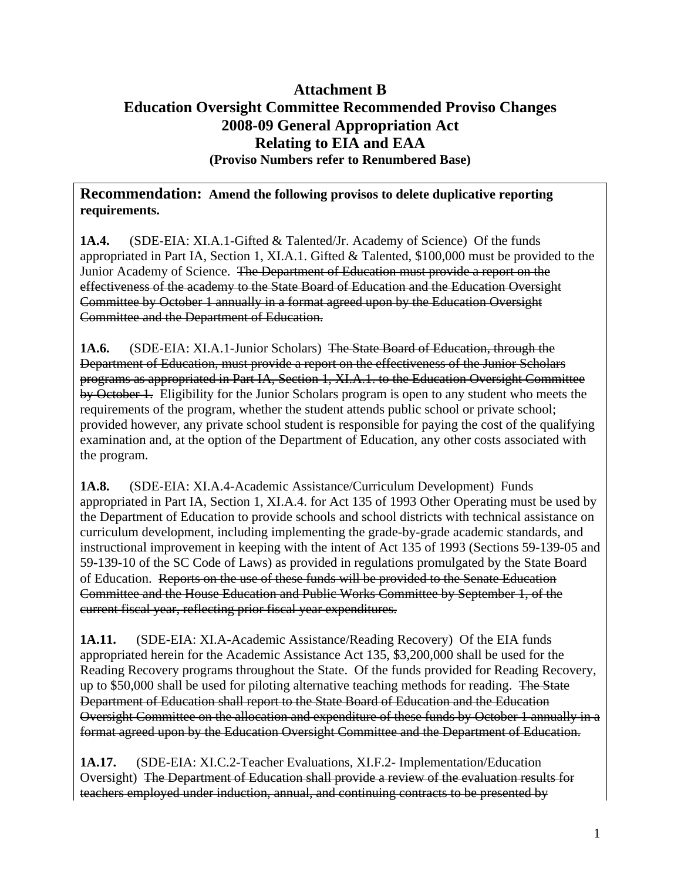## **Attachment B Education Oversight Committee Recommended Proviso Changes 2008-09 General Appropriation Act Relating to EIA and EAA (Proviso Numbers refer to Renumbered Base)**

#### **Recommendation: Amend the following provisos to delete duplicative reporting requirements.**

**1A.4.** (SDE-EIA: XI.A.1-Gifted & Talented/Jr. Academy of Science) Of the funds appropriated in Part IA, Section 1, XI.A.1. Gifted & Talented, \$100,000 must be provided to the Junior Academy of Science. The Department of Education must provide a report on the effectiveness of the academy to the State Board of Education and the Education Oversight Committee by October 1 annually in a format agreed upon by the Education Oversight Committee and the Department of Education.

**1A.6.** (SDE-EIA: XI.A.1-Junior Scholars) The State Board of Education, through the Department of Education, must provide a report on the effectiveness of the Junior Scholars programs as appropriated in Part IA, Section 1, XI.A.1. to the Education Oversight Committee by October 1. Eligibility for the Junior Scholars program is open to any student who meets the requirements of the program, whether the student attends public school or private school; provided however, any private school student is responsible for paying the cost of the qualifying examination and, at the option of the Department of Education, any other costs associated with the program.

**1A.8.** (SDE-EIA: XI.A.4-Academic Assistance/Curriculum Development) Funds appropriated in Part IA, Section 1, XI.A.4. for Act 135 of 1993 Other Operating must be used by the Department of Education to provide schools and school districts with technical assistance on curriculum development, including implementing the grade-by-grade academic standards, and instructional improvement in keeping with the intent of Act 135 of 1993 (Sections 59-139-05 and 59-139-10 of the SC Code of Laws) as provided in regulations promulgated by the State Board of Education. Reports on the use of these funds will be provided to the Senate Education Committee and the House Education and Public Works Committee by September 1, of the current fiscal year, reflecting prior fiscal year expenditures.

**1A.11.** (SDE-EIA: XI.A-Academic Assistance/Reading Recovery) Of the EIA funds appropriated herein for the Academic Assistance Act 135, \$3,200,000 shall be used for the Reading Recovery programs throughout the State. Of the funds provided for Reading Recovery, up to \$50,000 shall be used for piloting alternative teaching methods for reading. The State Department of Education shall report to the State Board of Education and the Education Oversight Committee on the allocation and expenditure of these funds by October 1 annually in a format agreed upon by the Education Oversight Committee and the Department of Education.

**1A.17.** (SDE-EIA: XI.C.2-Teacher Evaluations, XI.F.2- Implementation/Education Oversight) The Department of Education shall provide a review of the evaluation results for teachers employed under induction, annual, and continuing contracts to be presented by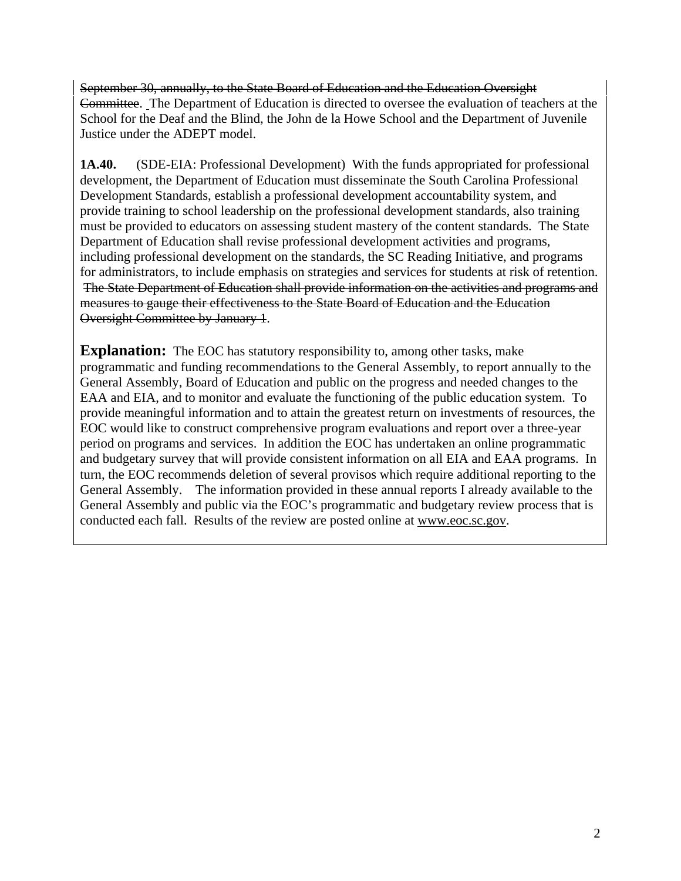September 30, annually, to the State Board of Education and the Education Oversight Committee. The Department of Education is directed to oversee the evaluation of teachers at the School for the Deaf and the Blind, the John de la Howe School and the Department of Juvenile Justice under the ADEPT model.

**1A.40.** (SDE-EIA: Professional Development) With the funds appropriated for professional development, the Department of Education must disseminate the South Carolina Professional Development Standards, establish a professional development accountability system, and provide training to school leadership on the professional development standards, also training must be provided to educators on assessing student mastery of the content standards. The State Department of Education shall revise professional development activities and programs, including professional development on the standards, the SC Reading Initiative, and programs for administrators, to include emphasis on strategies and services for students at risk of retention. The State Department of Education shall provide information on the activities and programs and measures to gauge their effectiveness to the State Board of Education and the Education Oversight Committee by January 1.

**Explanation:** The EOC has statutory responsibility to, among other tasks, make programmatic and funding recommendations to the General Assembly, to report annually to the General Assembly, Board of Education and public on the progress and needed changes to the EAA and EIA, and to monitor and evaluate the functioning of the public education system. To provide meaningful information and to attain the greatest return on investments of resources, the EOC would like to construct comprehensive program evaluations and report over a three-year period on programs and services. In addition the EOC has undertaken an online programmatic and budgetary survey that will provide consistent information on all EIA and EAA programs. In turn, the EOC recommends deletion of several provisos which require additional reporting to the General Assembly. The information provided in these annual reports I already available to the General Assembly and public via the EOC's programmatic and budgetary review process that is conducted each fall. Results of the review are posted online at [www.eoc.sc.gov](http://www.eoc.sc.gov/).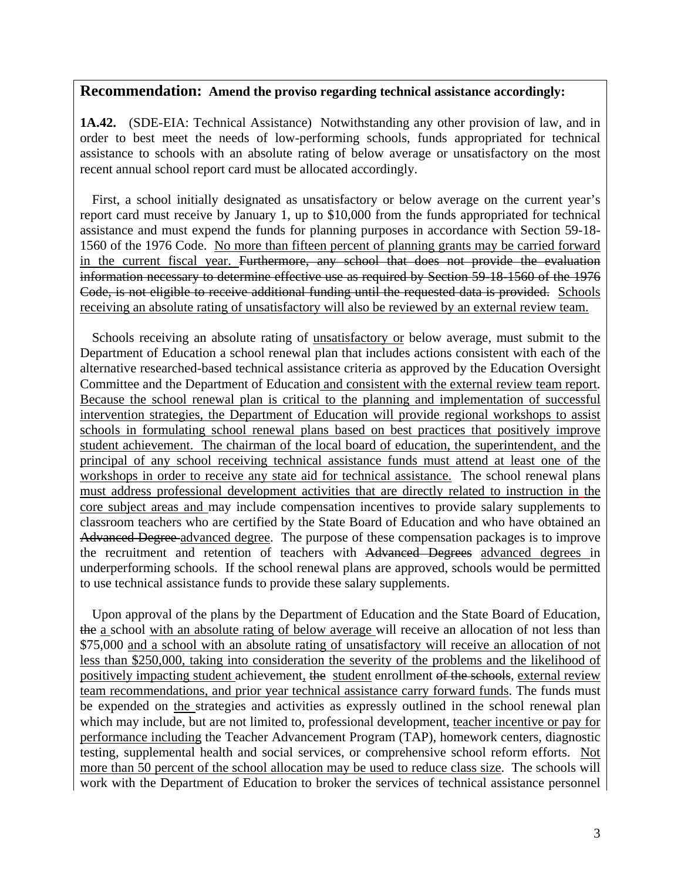#### **Recommendation: Amend the proviso regarding technical assistance accordingly:**

**1A.42.** (SDE-EIA: Technical Assistance) Notwithstanding any other provision of law, and in order to best meet the needs of low-performing schools, funds appropriated for technical assistance to schools with an absolute rating of below average or unsatisfactory on the most recent annual school report card must be allocated accordingly.

 First, a school initially designated as unsatisfactory or below average on the current year's report card must receive by January 1, up to \$10,000 from the funds appropriated for technical assistance and must expend the funds for planning purposes in accordance with Section 59-18- 1560 of the 1976 Code. No more than fifteen percent of planning grants may be carried forward in the current fiscal year. Furthermore, any school that does not provide the evaluation information necessary to determine effective use as required by Section 59-18-1560 of the 1976 Code, is not eligible to receive additional funding until the requested data is provided. Schools receiving an absolute rating of unsatisfactory will also be reviewed by an external review team.

 Schools receiving an absolute rating of unsatisfactory or below average, must submit to the Department of Education a school renewal plan that includes actions consistent with each of the alternative researched-based technical assistance criteria as approved by the Education Oversight Committee and the Department of Education and consistent with the external review team report. Because the school renewal plan is critical to the planning and implementation of successful intervention strategies, the Department of Education will provide regional workshops to assist schools in formulating school renewal plans based on best practices that positively improve student achievement. The chairman of the local board of education, the superintendent, and the principal of any school receiving technical assistance funds must attend at least one of the workshops in order to receive any state aid for technical assistance. The school renewal plans must address professional development activities that are directly related to instruction in the core subject areas and may include compensation incentives to provide salary supplements to classroom teachers who are certified by the State Board of Education and who have obtained an Advanced Degree advanced degree. The purpose of these compensation packages is to improve the recruitment and retention of teachers with Advanced Degrees advanced degrees in underperforming schools. If the school renewal plans are approved, schools would be permitted to use technical assistance funds to provide these salary supplements.

 Upon approval of the plans by the Department of Education and the State Board of Education, the a school with an absolute rating of below average will receive an allocation of not less than \$75,000 and a school with an absolute rating of unsatisfactory will receive an allocation of not less than \$250,000, taking into consideration the severity of the problems and the likelihood of positively impacting student achievement, the student enrollment of the schools, external review team recommendations, and prior year technical assistance carry forward funds. The funds must be expended on the strategies and activities as expressly outlined in the school renewal plan which may include, but are not limited to, professional development, teacher incentive or pay for performance including the Teacher Advancement Program (TAP), homework centers, diagnostic testing, supplemental health and social services, or comprehensive school reform efforts. Not more than 50 percent of the school allocation may be used to reduce class size. The schools will work with the Department of Education to broker the services of technical assistance personnel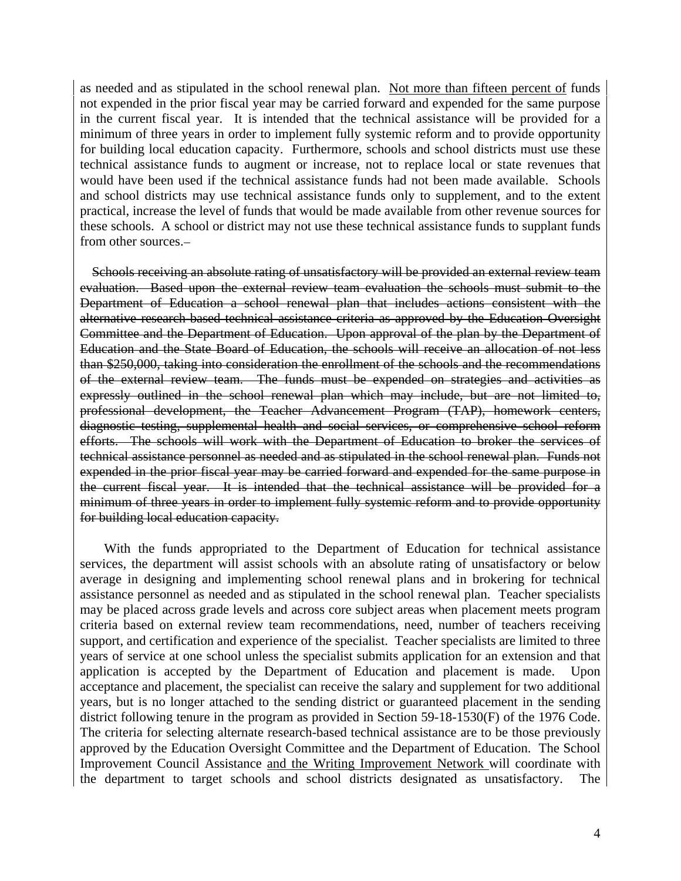as needed and as stipulated in the school renewal plan. Not more than fifteen percent of funds not expended in the prior fiscal year may be carried forward and expended for the same purpose in the current fiscal year. It is intended that the technical assistance will be provided for a minimum of three years in order to implement fully systemic reform and to provide opportunity for building local education capacity. Furthermore, schools and school districts must use these technical assistance funds to augment or increase, not to replace local or state revenues that would have been used if the technical assistance funds had not been made available. Schools and school districts may use technical assistance funds only to supplement, and to the extent practical, increase the level of funds that would be made available from other revenue sources for these schools. A school or district may not use these technical assistance funds to supplant funds from other sources.

Schools receiving an absolute rating of unsatisfactory will be provided an external review team evaluation. Based upon the external review team evaluation the schools must submit to the Department of Education a school renewal plan that includes actions consistent with the alternative research-based technical assistance criteria as approved by the Education Oversight Committee and the Department of Education. Upon approval of the plan by the Department of Education and the State Board of Education, the schools will receive an allocation of not less than \$250,000, taking into consideration the enrollment of the schools and the recommendations of the external review team. The funds must be expended on strategies and activities as expressly outlined in the school renewal plan which may include, but are not limited to, professional development, the Teacher Advancement Program (TAP), homework centers, diagnostic testing, supplemental health and social services, or comprehensive school reform efforts. The schools will work with the Department of Education to broker the services of technical assistance personnel as needed and as stipulated in the school renewal plan. Funds not expended in the prior fiscal year may be carried forward and expended for the same purpose in the current fiscal year. It is intended that the technical assistance will be provided for a minimum of three years in order to implement fully systemic reform and to provide opportunity for building local education capacity.

 With the funds appropriated to the Department of Education for technical assistance services, the department will assist schools with an absolute rating of unsatisfactory or below average in designing and implementing school renewal plans and in brokering for technical assistance personnel as needed and as stipulated in the school renewal plan. Teacher specialists may be placed across grade levels and across core subject areas when placement meets program criteria based on external review team recommendations, need, number of teachers receiving support, and certification and experience of the specialist. Teacher specialists are limited to three years of service at one school unless the specialist submits application for an extension and that application is accepted by the Department of Education and placement is made. Upon acceptance and placement, the specialist can receive the salary and supplement for two additional years, but is no longer attached to the sending district or guaranteed placement in the sending district following tenure in the program as provided in Section 59-18-1530(F) of the 1976 Code. The criteria for selecting alternate research-based technical assistance are to be those previously approved by the Education Oversight Committee and the Department of Education. The School Improvement Council Assistance and the Writing Improvement Network will coordinate with the department to target schools and school districts designated as unsatisfactory. The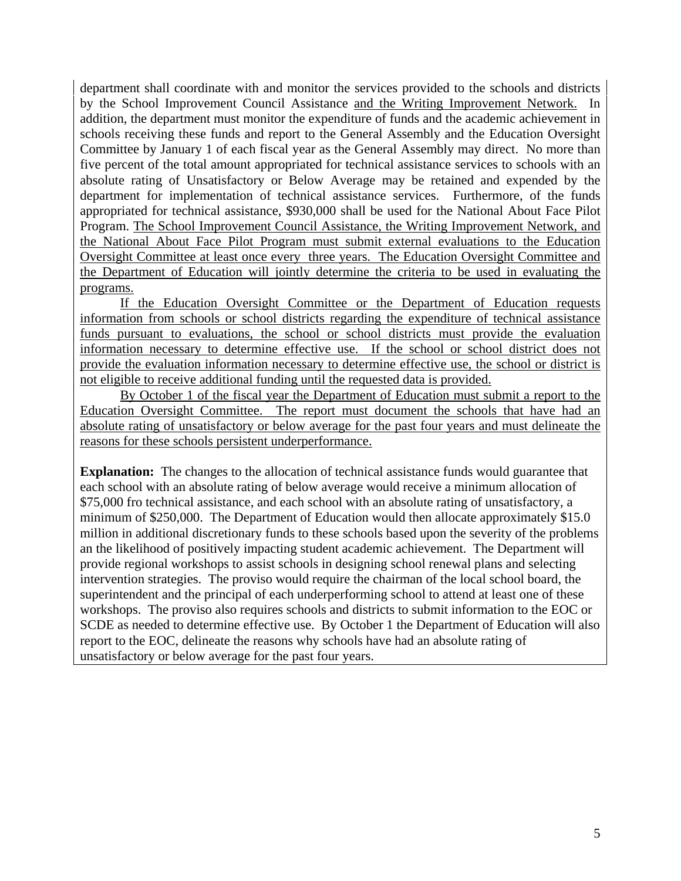department shall coordinate with and monitor the services provided to the schools and districts by the School Improvement Council Assistance and the Writing Improvement Network. In addition, the department must monitor the expenditure of funds and the academic achievement in schools receiving these funds and report to the General Assembly and the Education Oversight Committee by January 1 of each fiscal year as the General Assembly may direct. No more than five percent of the total amount appropriated for technical assistance services to schools with an absolute rating of Unsatisfactory or Below Average may be retained and expended by the department for implementation of technical assistance services. Furthermore, of the funds appropriated for technical assistance, \$930,000 shall be used for the National About Face Pilot Program. The School Improvement Council Assistance, the Writing Improvement Network, and the National About Face Pilot Program must submit external evaluations to the Education Oversight Committee at least once every three years. The Education Oversight Committee and the Department of Education will jointly determine the criteria to be used in evaluating the programs.

If the Education Oversight Committee or the Department of Education requests information from schools or school districts regarding the expenditure of technical assistance funds pursuant to evaluations, the school or school districts must provide the evaluation information necessary to determine effective use. If the school or school district does not provide the evaluation information necessary to determine effective use, the school or district is not eligible to receive additional funding until the requested data is provided.

By October 1 of the fiscal year the Department of Education must submit a report to the Education Oversight Committee. The report must document the schools that have had an absolute rating of unsatisfactory or below average for the past four years and must delineate the reasons for these schools persistent underperformance.

**Explanation:** The changes to the allocation of technical assistance funds would guarantee that each school with an absolute rating of below average would receive a minimum allocation of \$75,000 fro technical assistance, and each school with an absolute rating of unsatisfactory, a minimum of \$250,000. The Department of Education would then allocate approximately \$15.0 million in additional discretionary funds to these schools based upon the severity of the problems an the likelihood of positively impacting student academic achievement. The Department will provide regional workshops to assist schools in designing school renewal plans and selecting intervention strategies. The proviso would require the chairman of the local school board, the superintendent and the principal of each underperforming school to attend at least one of these workshops. The proviso also requires schools and districts to submit information to the EOC or SCDE as needed to determine effective use. By October 1 the Department of Education will also report to the EOC, delineate the reasons why schools have had an absolute rating of unsatisfactory or below average for the past four years.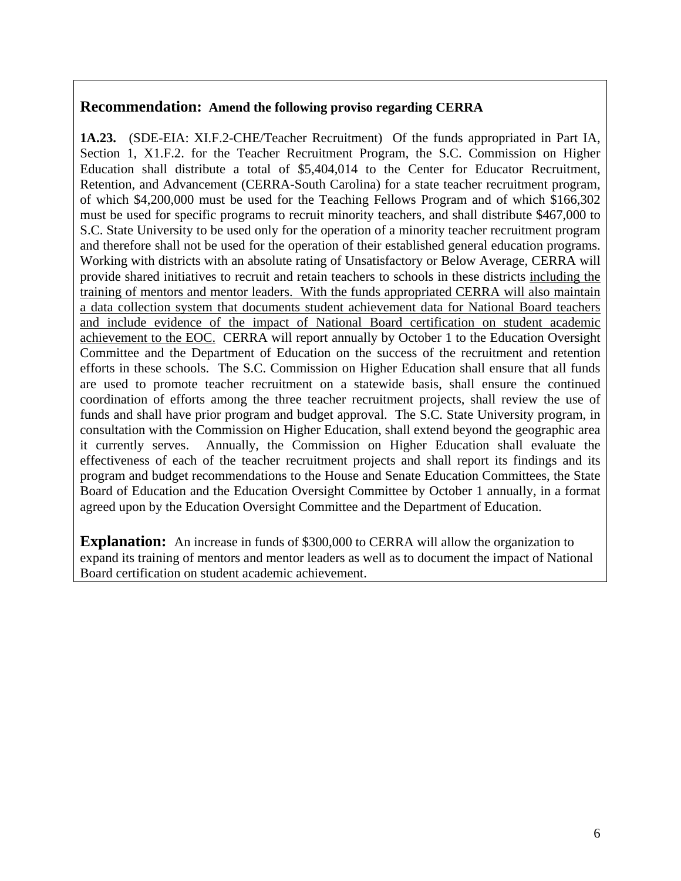#### **Recommendation: Amend the following proviso regarding CERRA**

**1A.23.** (SDE-EIA: XI.F.2-CHE/Teacher Recruitment) Of the funds appropriated in Part IA, Section 1, X1.F.2. for the Teacher Recruitment Program, the S.C. Commission on Higher Education shall distribute a total of \$5,404,014 to the Center for Educator Recruitment, Retention, and Advancement (CERRA-South Carolina) for a state teacher recruitment program, of which \$4,200,000 must be used for the Teaching Fellows Program and of which \$166,302 must be used for specific programs to recruit minority teachers, and shall distribute \$467,000 to S.C. State University to be used only for the operation of a minority teacher recruitment program and therefore shall not be used for the operation of their established general education programs. Working with districts with an absolute rating of Unsatisfactory or Below Average, CERRA will provide shared initiatives to recruit and retain teachers to schools in these districts including the training of mentors and mentor leaders. With the funds appropriated CERRA will also maintain a data collection system that documents student achievement data for National Board teachers and include evidence of the impact of National Board certification on student academic achievement to the EOC. CERRA will report annually by October 1 to the Education Oversight Committee and the Department of Education on the success of the recruitment and retention efforts in these schools. The S.C. Commission on Higher Education shall ensure that all funds are used to promote teacher recruitment on a statewide basis, shall ensure the continued coordination of efforts among the three teacher recruitment projects, shall review the use of funds and shall have prior program and budget approval. The S.C. State University program, in consultation with the Commission on Higher Education, shall extend beyond the geographic area it currently serves. Annually, the Commission on Higher Education shall evaluate the effectiveness of each of the teacher recruitment projects and shall report its findings and its program and budget recommendations to the House and Senate Education Committees, the State Board of Education and the Education Oversight Committee by October 1 annually, in a format agreed upon by the Education Oversight Committee and the Department of Education.

**Explanation:** An increase in funds of \$300,000 to CERRA will allow the organization to expand its training of mentors and mentor leaders as well as to document the impact of National Board certification on student academic achievement.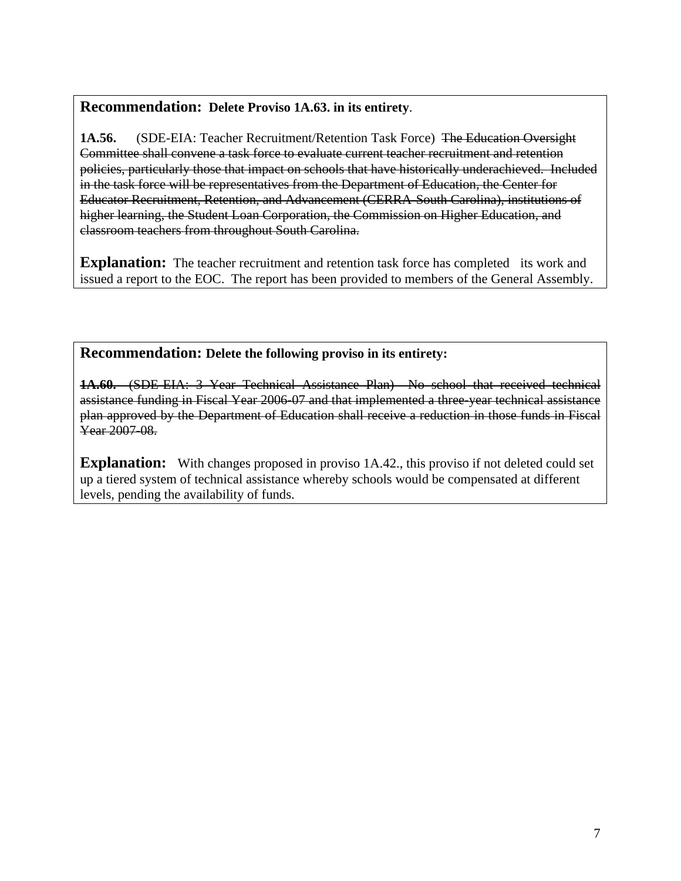### **Recommendation: Delete Proviso 1A.63. in its entirety**.

**1A.56.** (SDE-EIA: Teacher Recruitment/Retention Task Force) The Education Oversight Committee shall convene a task force to evaluate current teacher recruitment and retention policies, particularly those that impact on schools that have historically underachieved. Included in the task force will be representatives from the Department of Education, the Center for Educator Recruitment, Retention, and Advancement (CERRA-South Carolina), institutions of higher learning, the Student Loan Corporation, the Commission on Higher Education, and classroom teachers from throughout South Carolina.

**Explanation:** The teacher recruitment and retention task force has completed its work and issued a report to the EOC. The report has been provided to members of the General Assembly.

#### **Recommendation: Delete the following proviso in its entirety:**

**1A.60.** (SDE-EIA: 3 Year Technical Assistance Plan) No school that received technical assistance funding in Fiscal Year 2006-07 and that implemented a three-year technical assistance plan approved by the Department of Education shall receive a reduction in those funds in Fiscal Year 2007-08.

**Explanation:** With changes proposed in proviso 1A.42., this proviso if not deleted could set up a tiered system of technical assistance whereby schools would be compensated at different levels, pending the availability of funds.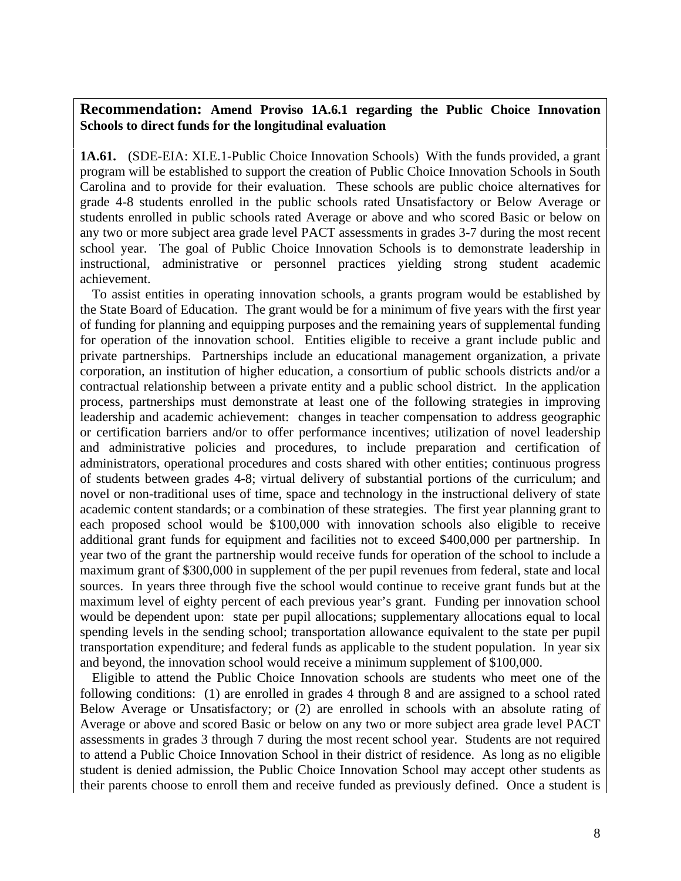#### **Recommendation: Amend Proviso 1A.6.1 regarding the Public Choice Innovation Schools to direct funds for the longitudinal evaluation**

**1A.61.** (SDE-EIA: XI.E.1-Public Choice Innovation Schools) With the funds provided, a grant program will be established to support the creation of Public Choice Innovation Schools in South Carolina and to provide for their evaluation. These schools are public choice alternatives for grade 4-8 students enrolled in the public schools rated Unsatisfactory or Below Average or students enrolled in public schools rated Average or above and who scored Basic or below on any two or more subject area grade level PACT assessments in grades 3-7 during the most recent school year. The goal of Public Choice Innovation Schools is to demonstrate leadership in instructional, administrative or personnel practices yielding strong student academic achievement.

 To assist entities in operating innovation schools, a grants program would be established by the State Board of Education. The grant would be for a minimum of five years with the first year of funding for planning and equipping purposes and the remaining years of supplemental funding for operation of the innovation school. Entities eligible to receive a grant include public and private partnerships. Partnerships include an educational management organization, a private corporation, an institution of higher education, a consortium of public schools districts and/or a contractual relationship between a private entity and a public school district. In the application process, partnerships must demonstrate at least one of the following strategies in improving leadership and academic achievement: changes in teacher compensation to address geographic or certification barriers and/or to offer performance incentives; utilization of novel leadership and administrative policies and procedures, to include preparation and certification of administrators, operational procedures and costs shared with other entities; continuous progress of students between grades 4-8; virtual delivery of substantial portions of the curriculum; and novel or non-traditional uses of time, space and technology in the instructional delivery of state academic content standards; or a combination of these strategies. The first year planning grant to each proposed school would be \$100,000 with innovation schools also eligible to receive additional grant funds for equipment and facilities not to exceed \$400,000 per partnership. In year two of the grant the partnership would receive funds for operation of the school to include a maximum grant of \$300,000 in supplement of the per pupil revenues from federal, state and local sources. In years three through five the school would continue to receive grant funds but at the maximum level of eighty percent of each previous year's grant. Funding per innovation school would be dependent upon: state per pupil allocations; supplementary allocations equal to local spending levels in the sending school; transportation allowance equivalent to the state per pupil transportation expenditure; and federal funds as applicable to the student population. In year six and beyond, the innovation school would receive a minimum supplement of \$100,000.

 Eligible to attend the Public Choice Innovation schools are students who meet one of the following conditions: (1) are enrolled in grades 4 through 8 and are assigned to a school rated Below Average or Unsatisfactory; or (2) are enrolled in schools with an absolute rating of Average or above and scored Basic or below on any two or more subject area grade level PACT assessments in grades 3 through 7 during the most recent school year. Students are not required to attend a Public Choice Innovation School in their district of residence. As long as no eligible student is denied admission, the Public Choice Innovation School may accept other students as their parents choose to enroll them and receive funded as previously defined. Once a student is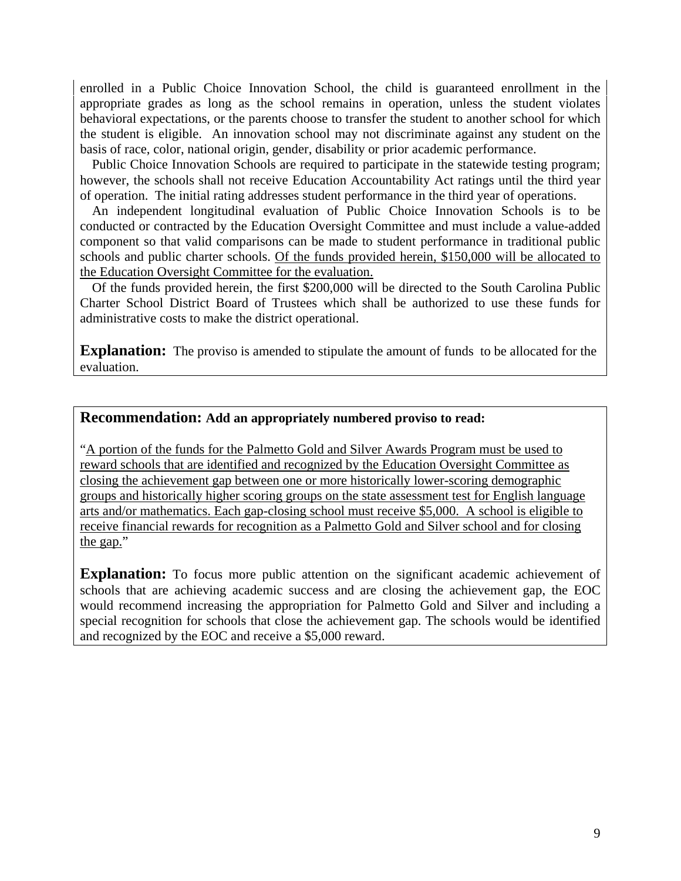enrolled in a Public Choice Innovation School, the child is guaranteed enrollment in the appropriate grades as long as the school remains in operation, unless the student violates behavioral expectations, or the parents choose to transfer the student to another school for which the student is eligible. An innovation school may not discriminate against any student on the basis of race, color, national origin, gender, disability or prior academic performance.

 Public Choice Innovation Schools are required to participate in the statewide testing program; however, the schools shall not receive Education Accountability Act ratings until the third year of operation. The initial rating addresses student performance in the third year of operations.

 An independent longitudinal evaluation of Public Choice Innovation Schools is to be conducted or contracted by the Education Oversight Committee and must include a value-added component so that valid comparisons can be made to student performance in traditional public schools and public charter schools. Of the funds provided herein, \$150,000 will be allocated to the Education Oversight Committee for the evaluation.

 Of the funds provided herein, the first \$200,000 will be directed to the South Carolina Public Charter School District Board of Trustees which shall be authorized to use these funds for administrative costs to make the district operational.

**Explanation:** The proviso is amended to stipulate the amount of funds to be allocated for the evaluation.

#### **Recommendation: Add an appropriately numbered proviso to read:**

"A portion of the funds for the Palmetto Gold and Silver Awards Program must be used to reward schools that are identified and recognized by the Education Oversight Committee as closing the achievement gap between one or more historically lower-scoring demographic groups and historically higher scoring groups on the state assessment test for English language arts and/or mathematics. Each gap-closing school must receive \$5,000. A school is eligible to receive financial rewards for recognition as a Palmetto Gold and Silver school and for closing the gap."

**Explanation:** To focus more public attention on the significant academic achievement of schools that are achieving academic success and are closing the achievement gap, the EOC would recommend increasing the appropriation for Palmetto Gold and Silver and including a special recognition for schools that close the achievement gap. The schools would be identified and recognized by the EOC and receive a \$5,000 reward.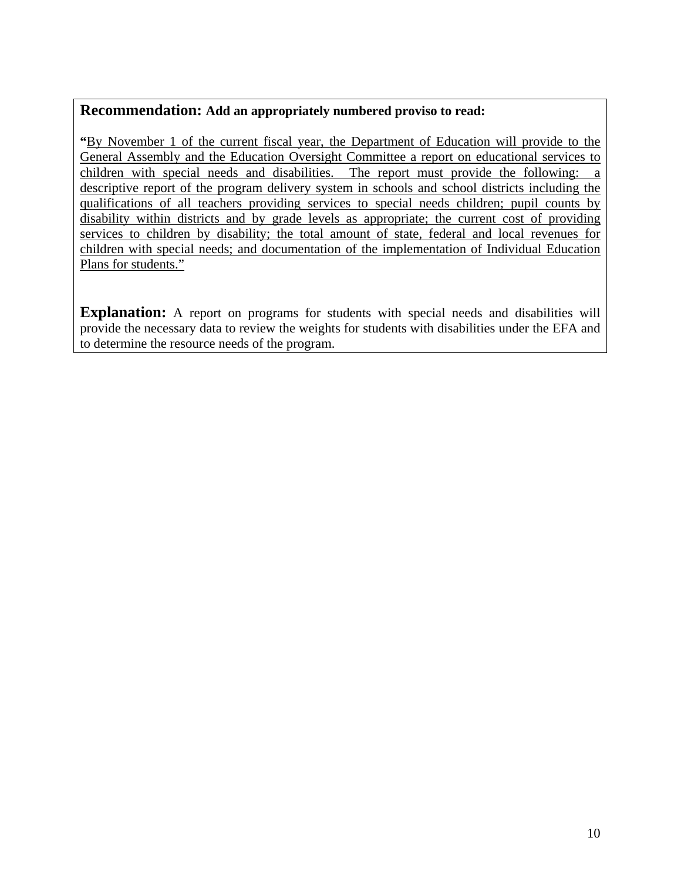#### **Recommendation: Add an appropriately numbered proviso to read:**

**"**By November 1 of the current fiscal year, the Department of Education will provide to the General Assembly and the Education Oversight Committee a report on educational services to children with special needs and disabilities. The report must provide the following: a descriptive report of the program delivery system in schools and school districts including the qualifications of all teachers providing services to special needs children; pupil counts by disability within districts and by grade levels as appropriate; the current cost of providing services to children by disability; the total amount of state, federal and local revenues for children with special needs; and documentation of the implementation of Individual Education Plans for students."

**Explanation:** A report on programs for students with special needs and disabilities will provide the necessary data to review the weights for students with disabilities under the EFA and to determine the resource needs of the program.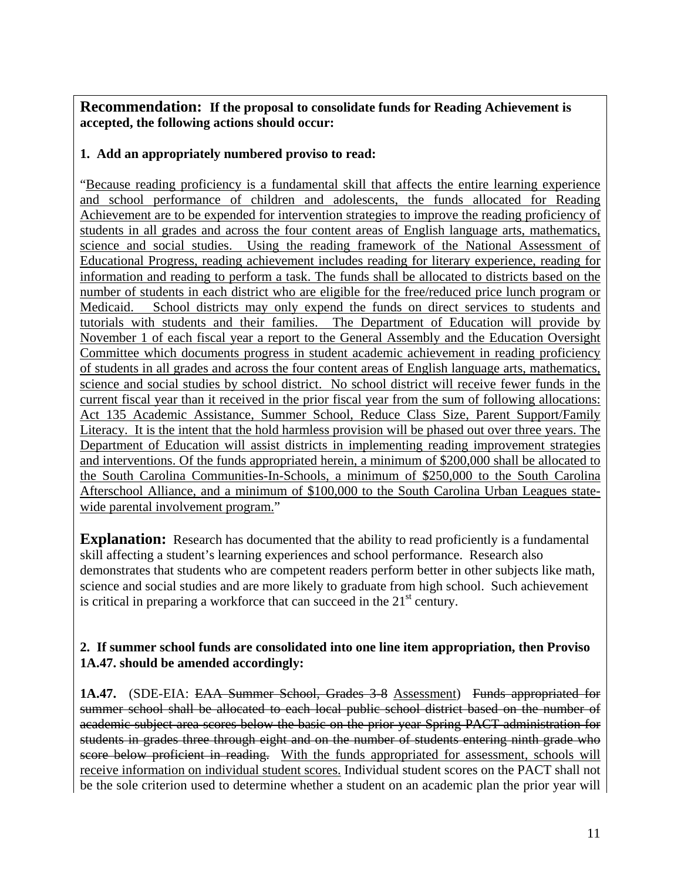**Recommendation: If the proposal to consolidate funds for Reading Achievement is accepted, the following actions should occur:** 

#### **1. Add an appropriately numbered proviso to read:**

"Because reading proficiency is a fundamental skill that affects the entire learning experience and school performance of children and adolescents, the funds allocated for Reading Achievement are to be expended for intervention strategies to improve the reading proficiency of students in all grades and across the four content areas of English language arts, mathematics, science and social studies. Using the reading framework of the National Assessment of Educational Progress, reading achievement includes reading for literary experience, reading for information and reading to perform a task. The funds shall be allocated to districts based on the number of students in each district who are eligible for the free/reduced price lunch program or Medicaid. School districts may only expend the funds on direct services to students and tutorials with students and their families. The Department of Education will provide by November 1 of each fiscal year a report to the General Assembly and the Education Oversight Committee which documents progress in student academic achievement in reading proficiency of students in all grades and across the four content areas of English language arts, mathematics, science and social studies by school district. No school district will receive fewer funds in the current fiscal year than it received in the prior fiscal year from the sum of following allocations: Act 135 Academic Assistance, Summer School, Reduce Class Size, Parent Support/Family Literacy. It is the intent that the hold harmless provision will be phased out over three years. The Department of Education will assist districts in implementing reading improvement strategies and interventions. Of the funds appropriated herein, a minimum of \$200,000 shall be allocated to the South Carolina Communities-In-Schools, a minimum of \$250,000 to the South Carolina Afterschool Alliance, and a minimum of \$100,000 to the South Carolina Urban Leagues statewide parental involvement program."

**Explanation:** Research has documented that the ability to read proficiently is a fundamental skill affecting a student's learning experiences and school performance. Research also demonstrates that students who are competent readers perform better in other subjects like math, science and social studies and are more likely to graduate from high school. Such achievement is critical in preparing a workforce that can succeed in the  $21<sup>st</sup>$  century.

#### **2. If summer school funds are consolidated into one line item appropriation, then Proviso 1A.47. should be amended accordingly:**

**1A.47.** (SDE-EIA: EAA Summer School, Grades 3-8 Assessment) Funds appropriated for summer school shall be allocated to each local public school district based on the number of academic subject area scores below the basic on the prior year Spring PACT administration for students in grades three through eight and on the number of students entering ninth grade who score below proficient in reading. With the funds appropriated for assessment, schools will receive information on individual student scores. Individual student scores on the PACT shall not be the sole criterion used to determine whether a student on an academic plan the prior year will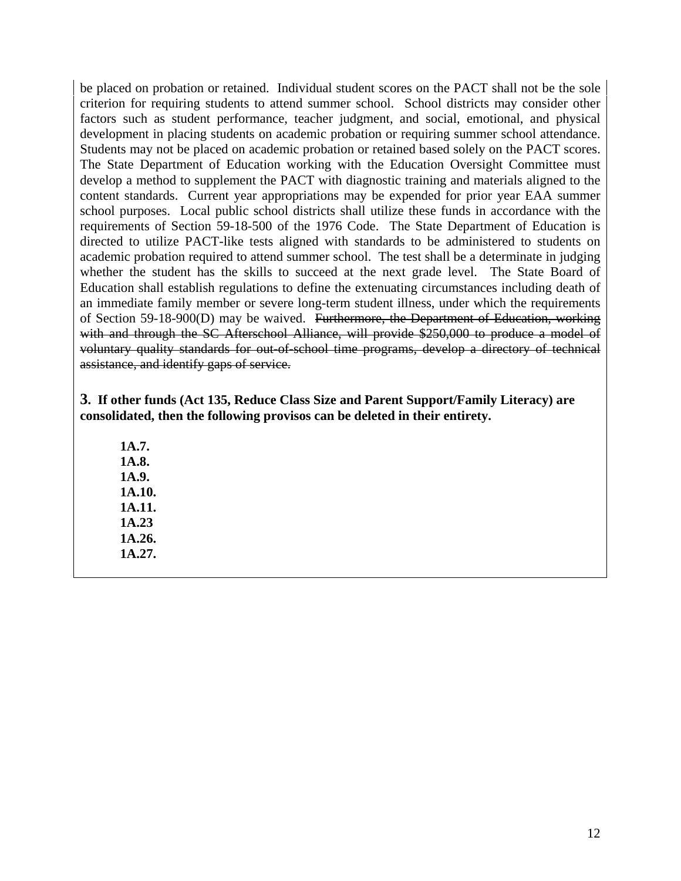be placed on probation or retained. Individual student scores on the PACT shall not be the sole criterion for requiring students to attend summer school. School districts may consider other factors such as student performance, teacher judgment, and social, emotional, and physical development in placing students on academic probation or requiring summer school attendance. Students may not be placed on academic probation or retained based solely on the PACT scores. The State Department of Education working with the Education Oversight Committee must develop a method to supplement the PACT with diagnostic training and materials aligned to the content standards. Current year appropriations may be expended for prior year EAA summer school purposes. Local public school districts shall utilize these funds in accordance with the requirements of Section 59-18-500 of the 1976 Code. The State Department of Education is directed to utilize PACT-like tests aligned with standards to be administered to students on academic probation required to attend summer school. The test shall be a determinate in judging whether the student has the skills to succeed at the next grade level. The State Board of Education shall establish regulations to define the extenuating circumstances including death of an immediate family member or severe long-term student illness, under which the requirements of Section 59-18-900(D) may be waived. Furthermore, the Department of Education, working with and through the SC Afterschool Alliance, will provide \$250,000 to produce a model of voluntary quality standards for out-of-school time programs, develop a directory of technical assistance, and identify gaps of service.

**3. If other funds (Act 135, Reduce Class Size and Parent Support/Family Literacy) are consolidated, then the following provisos can be deleted in their entirety.** 

 **1A.7. 1A.8. 1A.9. 1A.10. 1A.11. 1A.23 1A.26. 1A.27.**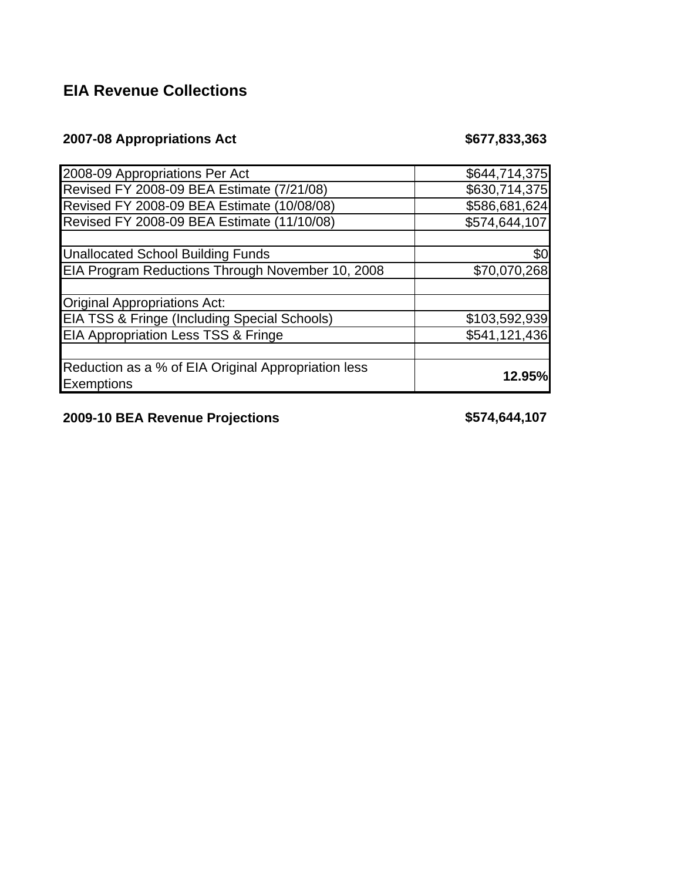# **EIA Revenue Collections**

# **2007-08 Appropriations Act \$677,833,363**

| 2008-09 Appropriations Per Act                          | \$644,714,375 |
|---------------------------------------------------------|---------------|
|                                                         |               |
| Revised FY 2008-09 BEA Estimate (7/21/08)               | \$630,714,375 |
| Revised FY 2008-09 BEA Estimate (10/08/08)              | \$586,681,624 |
| Revised FY 2008-09 BEA Estimate (11/10/08)              | \$574,644,107 |
|                                                         |               |
| <b>Unallocated School Building Funds</b>                | \$0           |
| EIA Program Reductions Through November 10, 2008        | \$70,070,268  |
|                                                         |               |
| Original Appropriations Act:                            |               |
| <b>EIA TSS &amp; Fringe (Including Special Schools)</b> | \$103,592,939 |
| <b>EIA Appropriation Less TSS &amp; Fringe</b>          | \$541,121,436 |
|                                                         |               |
| Reduction as a % of EIA Original Appropriation less     |               |
| <b>Exemptions</b>                                       | <b>12.95%</b> |

**2009-10 BEA Revenue Projections \$574,644,107**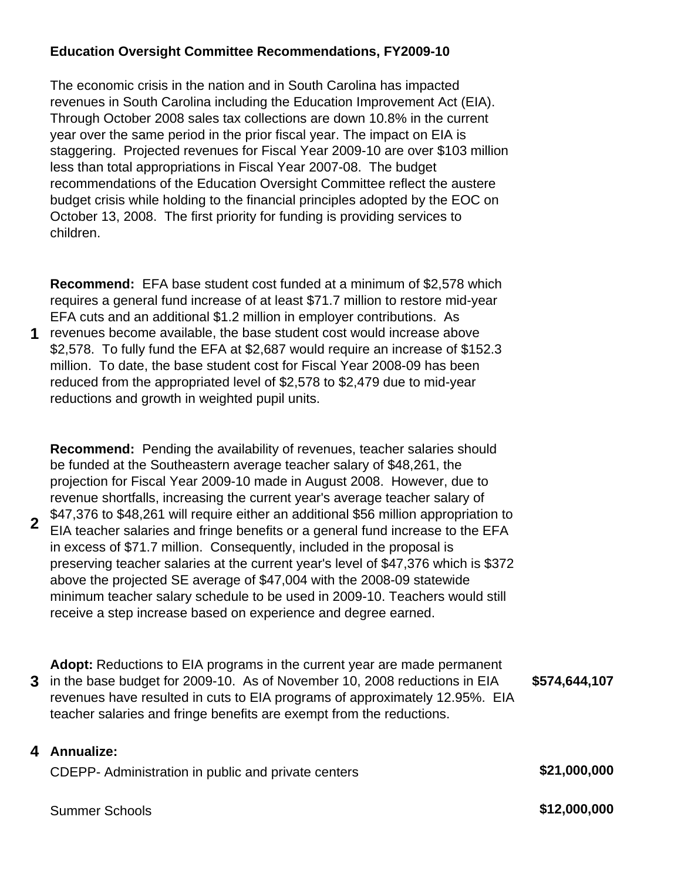### **Education Oversight Committee Recommendations, FY2009-10**

The economic crisis in the nation and in South Carolina has impacted revenues in South Carolina including the Education Improvement Act (EIA). Through October 2008 sales tax collections are down 10.8% in the current year over the same period in the prior fiscal year. The impact on EIA is staggering. Projected revenues for Fiscal Year 2009-10 are over \$103 million less than total appropriations in Fiscal Year 2007-08. The budget recommendations of the Education Oversight Committee reflect the austere budget crisis while holding to the financial principles adopted by the EOC on October 13, 2008. The first priority for funding is providing services to children.

**Recommend:** EFA base student cost funded at a minimum of \$2,578 which requires a general fund increase of at least \$71.7 million to restore mid-year EFA cuts and an additional \$1.2 million in employer contributions. As

**1** revenues become available, the base student cost would increase above \$2,578. To fully fund the EFA at \$2,687 would require an increase of \$152.3 million. To date, the base student cost for Fiscal Year 2008-09 has been reduced from the appropriated level of \$2,578 to \$2,479 due to mid-year reductions and growth in weighted pupil units.

**Recommend:** Pending the availability of revenues, teacher salaries should be funded at the Southeastern average teacher salary of \$48,261, the projection for Fiscal Year 2009-10 made in August 2008. However, due to revenue shortfalls, increasing the current year's average teacher salary of \$47,376 to \$48,261 will require either an additional \$56 million appropriation to

- **2** EIA teacher salaries and fringe benefits or a general fund increase to the EFA in excess of \$71.7 million. Consequently, included in the proposal is preserving teacher salaries at the current year's level of \$47,376 which is \$372 above the projected SE average of \$47,004 with the 2008-09 statewide minimum teacher salary schedule to be used in 2009-10. Teachers would still receive a step increase based on experience and degree earned.
- **3** in the base budget for 2009-10. As of November 10, 2008 reductions in EIA **Adopt:** Reductions to EIA programs in the current year are made permanent revenues have resulted in cuts to EIA programs of approximately 12.95%. EIA teacher salaries and fringe benefits are exempt from the reductions. **\$574,644,107**

#### **4 Annualize:**

CDEPP- Administration in public and private centers **\$21,000,000**

Summer Schools **\$12,000,000**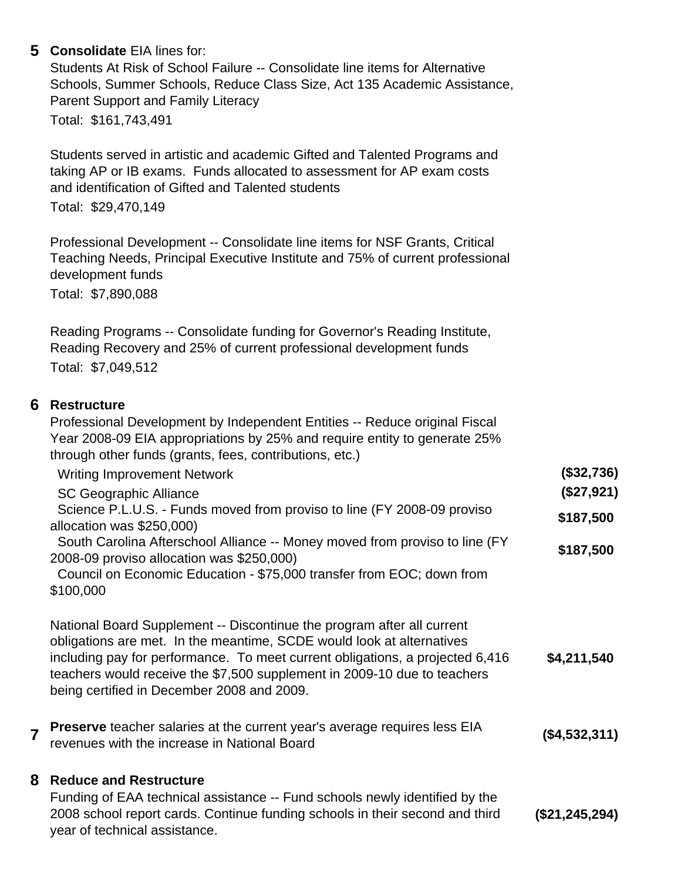### **5 Consolidate** EIA lines for:

Students At Risk of School Failure -- Consolidate line items for Alternative Schools, Summer Schools, Reduce Class Size, Act 135 Academic Assistance, Parent Support and Family Literacy Total: \$161,743,491

Students served in artistic and academic Gifted and Talented Programs and taking AP or IB exams. Funds allocated to assessment for AP exam costs and identification of Gifted and Talented students

Total: \$29,470,149

Professional Development -- Consolidate line items for NSF Grants, Critical Teaching Needs, Principal Executive Institute and 75% of current professional development funds Total: \$7,890,088

Reading Programs -- Consolidate funding for Governor's Reading Institute, Reading Recovery and 25% of current professional development funds Total: \$7,049,512

#### **6 Restructure**

Professional Development by Independent Entities -- Reduce original Fiscal Year 2008-09 EIA appropriations by 25% and require entity to generate 25% through other funds (grants, fees, contributions, etc.)

Writing Improvement Network **(\$32,736)**

| (\$27,921) |
|------------|
| \$187,500  |
|            |
| \$187,500  |
|            |
|            |
|            |

\$100,000

National Board Supplement -- Discontinue the program after all current obligations are met. In the meantime, SCDE would look at alternatives including pay for performance. To meet current obligations, a projected 6,416 teachers would receive the \$7,500 supplement in 2009-10 due to teachers being certified in December 2008 and 2009. **\$4,211,540**

**<sup>7</sup> Preserve** teacher salaries at the current year's average requires less EIA **revenues we teacher salaries at the current year's average requires less LIA** (\$4,532,311)

#### **8 Reduce and Restructure**

Funding of EAA technical assistance -- Fund schools newly identified by the 2008 school report cards. Continue funding schools in their second and third year of technical assistance. **(\$21,245,294)**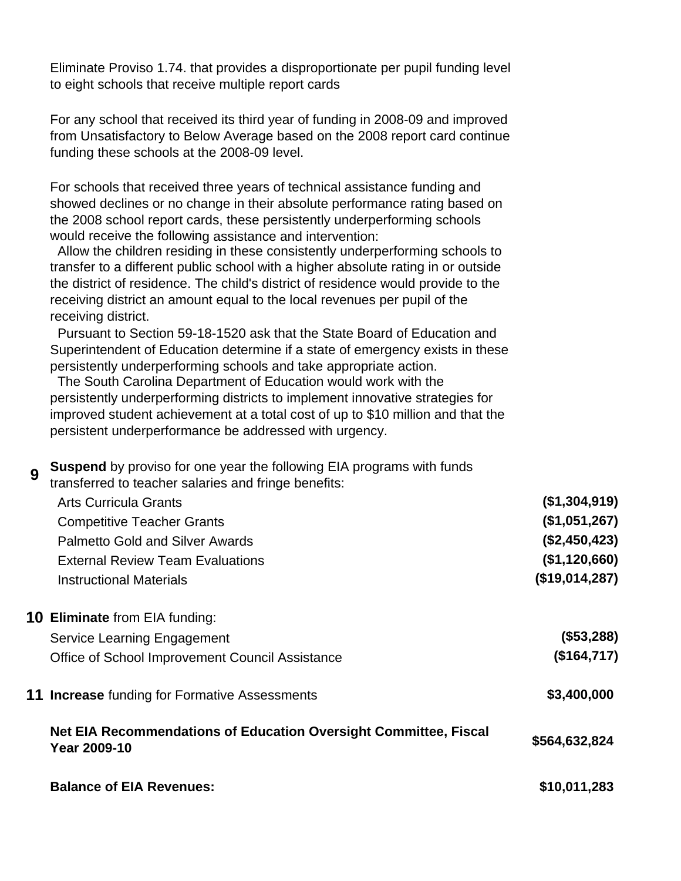Eliminate Proviso 1.74. that provides a disproportionate per pupil funding level to eight schools that receive multiple report cards

For any school that received its third year of funding in 2008-09 and improved from Unsatisfactory to Below Average based on the 2008 report card continue funding these schools at the 2008-09 level.

For schools that received three years of technical assistance funding and showed declines or no change in their absolute performance rating based on the 2008 school report cards, these persistently underperforming schools would receive the following assistance and intervention:

 Allow the children residing in these consistently underperforming schools to transfer to a different public school with a higher absolute rating in or outside the district of residence. The child's district of residence would provide to the receiving district an amount equal to the local revenues per pupil of the receiving district.

 Pursuant to Section 59-18-1520 ask that the State Board of Education and Superintendent of Education determine if a state of emergency exists in these persistently underperforming schools and take appropriate action.

 The South Carolina Department of Education would work with the persistently underperforming districts to implement innovative strategies for improved student achievement at a total cost of up to \$10 million and that the persistent underperformance be addressed with urgency.

**Suspend** by proviso for one year the following EIA programs with funds

| ჟ | transferred to teacher salaries and fringe benefits:                             |                |
|---|----------------------------------------------------------------------------------|----------------|
|   | <b>Arts Curricula Grants</b>                                                     | (\$1,304,919)  |
|   | <b>Competitive Teacher Grants</b>                                                | (\$1,051,267)  |
|   | <b>Palmetto Gold and Silver Awards</b>                                           | (\$2,450,423)  |
|   | <b>External Review Team Evaluations</b>                                          | (\$1,120,660)  |
|   | <b>Instructional Materials</b>                                                   | (\$19,014,287) |
|   | <b>10 Eliminate</b> from EIA funding:                                            |                |
|   | Service Learning Engagement                                                      | (\$53,288)     |
|   | Office of School Improvement Council Assistance                                  | (\$164,717)    |
|   | <b>11 Increase</b> funding for Formative Assessments                             | \$3,400,000    |
|   | Net EIA Recommendations of Education Oversight Committee, Fiscal<br>Year 2009-10 | \$564,632,824  |
|   | <b>Balance of EIA Revenues:</b>                                                  | \$10,011,283   |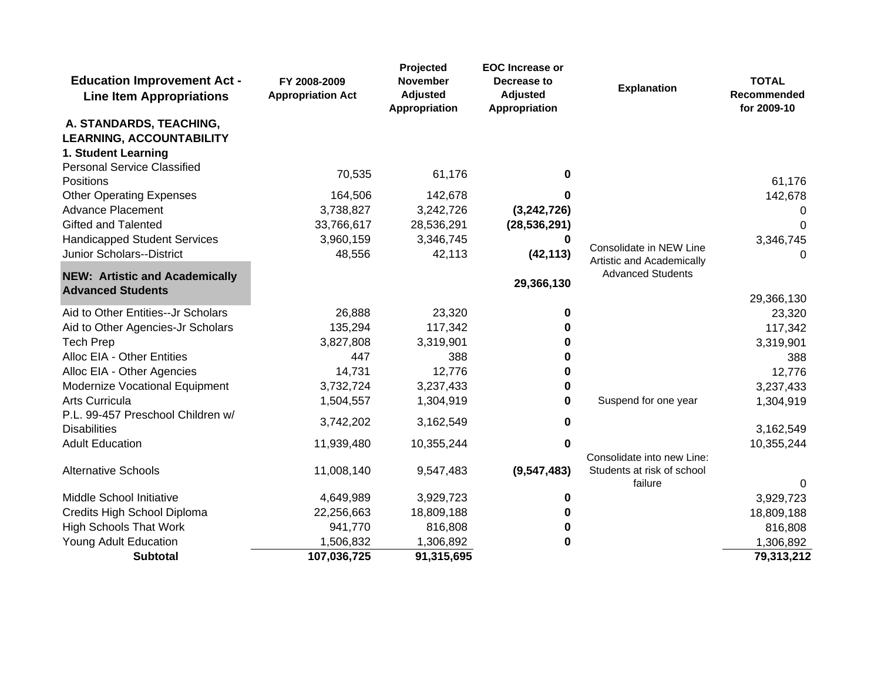| <b>Education Improvement Act -</b><br><b>Line Item Appropriations</b> | FY 2008-2009<br><b>Appropriation Act</b> | Projected<br>November<br><b>Adjusted</b><br>Appropriation | <b>EOC</b> Increase or<br>Decrease to<br><b>Adjusted</b><br>Appropriation | <b>Explanation</b>                                   | <b>TOTAL</b><br><b>Recommended</b><br>for 2009-10 |
|-----------------------------------------------------------------------|------------------------------------------|-----------------------------------------------------------|---------------------------------------------------------------------------|------------------------------------------------------|---------------------------------------------------|
| A. STANDARDS, TEACHING,                                               |                                          |                                                           |                                                                           |                                                      |                                                   |
| <b>LEARNING, ACCOUNTABILITY</b>                                       |                                          |                                                           |                                                                           |                                                      |                                                   |
| 1. Student Learning                                                   |                                          |                                                           |                                                                           |                                                      |                                                   |
| <b>Personal Service Classified</b><br>Positions                       | 70,535                                   | 61,176                                                    | 0                                                                         |                                                      | 61,176                                            |
| <b>Other Operating Expenses</b>                                       | 164,506                                  | 142,678                                                   |                                                                           |                                                      | 142,678                                           |
| <b>Advance Placement</b>                                              | 3,738,827                                | 3,242,726                                                 | (3,242,726)                                                               |                                                      | 0                                                 |
| <b>Gifted and Talented</b>                                            | 33,766,617                               | 28,536,291                                                | (28, 536, 291)                                                            |                                                      | $\Omega$                                          |
| <b>Handicapped Student Services</b>                                   | 3,960,159                                | 3,346,745                                                 |                                                                           |                                                      | 3,346,745                                         |
| Junior Scholars--District                                             | 48,556                                   | 42,113                                                    | (42, 113)                                                                 | Consolidate in NEW Line<br>Artistic and Academically | 0                                                 |
| <b>NEW: Artistic and Academically</b>                                 |                                          |                                                           | 29,366,130                                                                | <b>Advanced Students</b>                             |                                                   |
| <b>Advanced Students</b>                                              |                                          |                                                           |                                                                           |                                                      | 29,366,130                                        |
| Aid to Other Entities--Jr Scholars                                    | 26,888                                   | 23,320                                                    | 0                                                                         |                                                      | 23,320                                            |
| Aid to Other Agencies-Jr Scholars                                     | 135,294                                  | 117,342                                                   | 0                                                                         |                                                      | 117,342                                           |
| <b>Tech Prep</b>                                                      | 3,827,808                                | 3,319,901                                                 | O                                                                         |                                                      | 3,319,901                                         |
| Alloc EIA - Other Entities                                            | 447                                      | 388                                                       |                                                                           |                                                      | 388                                               |
| Alloc EIA - Other Agencies                                            | 14,731                                   | 12,776                                                    | 0                                                                         |                                                      | 12,776                                            |
| Modernize Vocational Equipment                                        | 3,732,724                                | 3,237,433                                                 | 0                                                                         |                                                      | 3,237,433                                         |
| Arts Curricula                                                        | 1,504,557                                | 1,304,919                                                 | 0                                                                         | Suspend for one year                                 | 1,304,919                                         |
| P.L. 99-457 Preschool Children w/<br><b>Disabilities</b>              | 3,742,202                                | 3,162,549                                                 | 0                                                                         |                                                      | 3,162,549                                         |
| <b>Adult Education</b>                                                | 11,939,480                               | 10,355,244                                                | $\bf{0}$                                                                  |                                                      | 10,355,244                                        |
|                                                                       |                                          |                                                           |                                                                           | Consolidate into new Line:                           |                                                   |
| <b>Alternative Schools</b>                                            | 11,008,140                               | 9,547,483                                                 | (9, 547, 483)                                                             | Students at risk of school                           |                                                   |
|                                                                       |                                          |                                                           |                                                                           | failure                                              | 0                                                 |
| Middle School Initiative                                              | 4,649,989                                | 3,929,723                                                 | 0                                                                         |                                                      | 3,929,723                                         |
| Credits High School Diploma                                           | 22,256,663                               | 18,809,188                                                | 0                                                                         |                                                      | 18,809,188                                        |
| <b>High Schools That Work</b>                                         | 941,770                                  | 816,808                                                   | 0                                                                         |                                                      | 816,808                                           |
| <b>Young Adult Education</b>                                          | 1,506,832                                | 1,306,892                                                 | $\bf{0}$                                                                  |                                                      | 1,306,892                                         |
| <b>Subtotal</b>                                                       | 107,036,725                              | 91,315,695                                                |                                                                           |                                                      | 79,313,212                                        |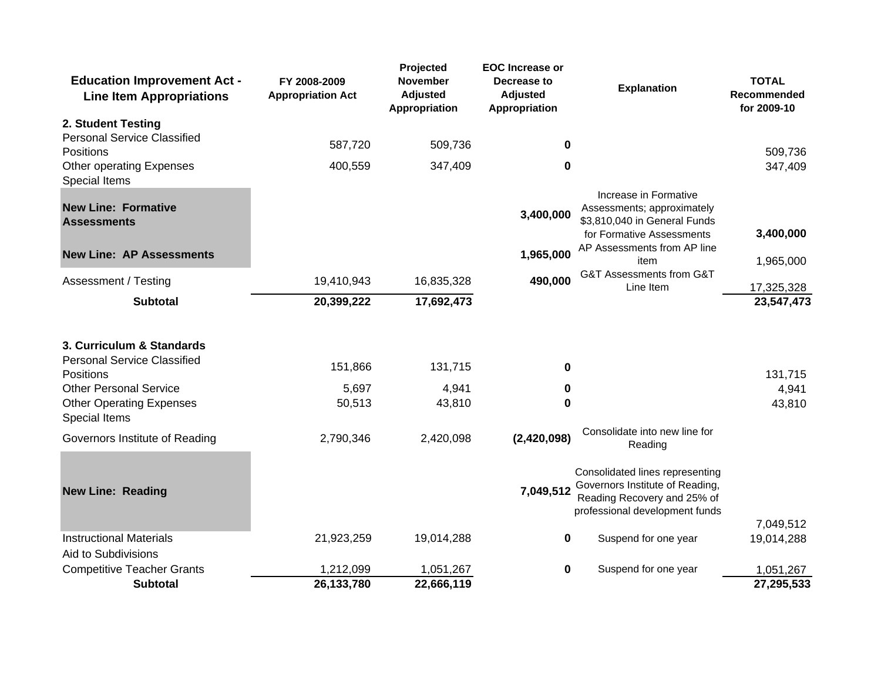| <b>Education Improvement Act -</b><br><b>Line Item Appropriations</b> | FY 2008-2009<br><b>Appropriation Act</b> | Projected<br><b>November</b><br><b>Adjusted</b><br>Appropriation | <b>EOC</b> Increase or<br>Decrease to<br><b>Adjusted</b><br>Appropriation | <b>Explanation</b>                                                                                                                  | <b>TOTAL</b><br>Recommended<br>for 2009-10 |
|-----------------------------------------------------------------------|------------------------------------------|------------------------------------------------------------------|---------------------------------------------------------------------------|-------------------------------------------------------------------------------------------------------------------------------------|--------------------------------------------|
| 2. Student Testing                                                    |                                          |                                                                  |                                                                           |                                                                                                                                     |                                            |
| <b>Personal Service Classified</b><br><b>Positions</b>                | 587,720                                  | 509,736                                                          | 0                                                                         |                                                                                                                                     | 509,736                                    |
| Other operating Expenses<br><b>Special Items</b>                      | 400,559                                  | 347,409                                                          | 0                                                                         |                                                                                                                                     | 347,409                                    |
| <b>New Line: Formative</b><br><b>Assessments</b>                      |                                          |                                                                  | 3,400,000                                                                 | Increase in Formative<br>Assessments; approximately<br>\$3,810,040 in General Funds<br>for Formative Assessments                    | 3,400,000                                  |
| <b>New Line: AP Assessments</b>                                       |                                          |                                                                  | 1,965,000                                                                 | AP Assessments from AP line<br>item                                                                                                 | 1,965,000                                  |
| Assessment / Testing                                                  | 19,410,943                               | 16,835,328                                                       | 490,000                                                                   | G&T Assessments from G&T<br>Line Item                                                                                               | 17,325,328                                 |
| <b>Subtotal</b>                                                       | 20,399,222                               | 17,692,473                                                       |                                                                           |                                                                                                                                     | 23,547,473                                 |
| 3. Curriculum & Standards<br><b>Personal Service Classified</b>       |                                          |                                                                  |                                                                           |                                                                                                                                     |                                            |
| <b>Positions</b>                                                      | 151,866                                  | 131,715                                                          | $\bf{0}$                                                                  |                                                                                                                                     | 131,715                                    |
| <b>Other Personal Service</b>                                         | 5,697                                    | 4,941                                                            | 0                                                                         |                                                                                                                                     | 4,941                                      |
| <b>Other Operating Expenses</b><br><b>Special Items</b>               | 50,513                                   | 43,810                                                           | 0                                                                         |                                                                                                                                     | 43,810                                     |
| Governors Institute of Reading                                        | 2,790,346                                | 2,420,098                                                        | (2,420,098)                                                               | Consolidate into new line for<br>Reading                                                                                            |                                            |
| <b>New Line: Reading</b>                                              |                                          |                                                                  | 7,049,512                                                                 | Consolidated lines representing<br>Governors Institute of Reading,<br>Reading Recovery and 25% of<br>professional development funds |                                            |
|                                                                       |                                          |                                                                  |                                                                           |                                                                                                                                     | 7,049,512                                  |
| <b>Instructional Materials</b><br>Aid to Subdivisions                 | 21,923,259                               | 19,014,288                                                       | 0                                                                         | Suspend for one year                                                                                                                | 19,014,288                                 |
| <b>Competitive Teacher Grants</b>                                     | 1,212,099                                | 1,051,267                                                        | 0                                                                         | Suspend for one year                                                                                                                | 1,051,267                                  |
| <b>Subtotal</b>                                                       | 26,133,780                               | 22,666,119                                                       |                                                                           |                                                                                                                                     | 27,295,533                                 |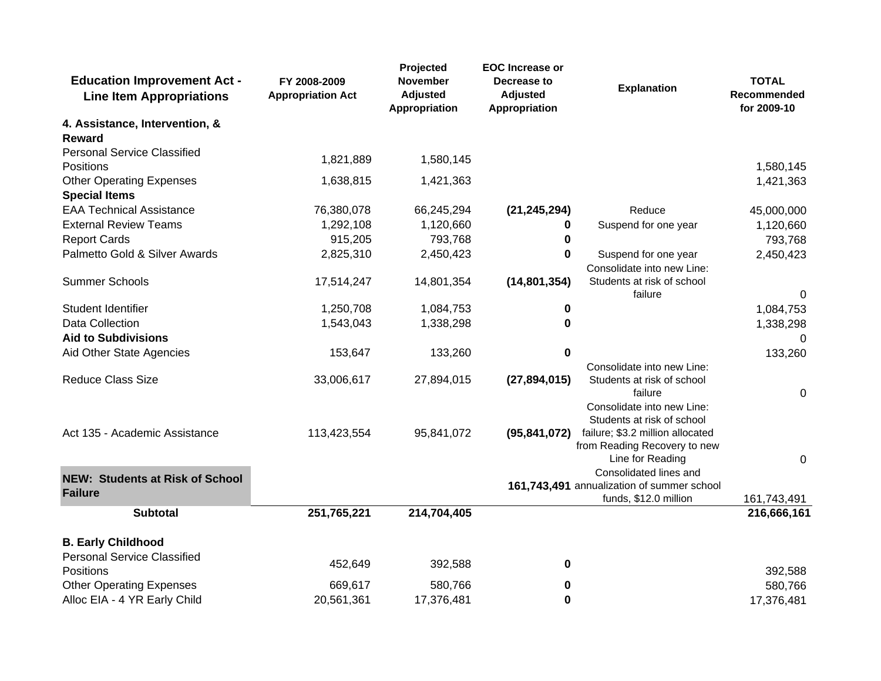| <b>Education Improvement Act -</b><br><b>Line Item Appropriations</b> | FY 2008-2009<br><b>Appropriation Act</b> | Projected<br>November<br><b>Adjusted</b><br>Appropriation | <b>EOC</b> Increase or<br>Decrease to<br><b>Adjusted</b><br>Appropriation | <b>Explanation</b>                                                                   | <b>TOTAL</b><br>Recommended<br>for 2009-10 |
|-----------------------------------------------------------------------|------------------------------------------|-----------------------------------------------------------|---------------------------------------------------------------------------|--------------------------------------------------------------------------------------|--------------------------------------------|
| 4. Assistance, Intervention, &                                        |                                          |                                                           |                                                                           |                                                                                      |                                            |
| Reward                                                                |                                          |                                                           |                                                                           |                                                                                      |                                            |
| <b>Personal Service Classified</b><br>Positions                       | 1,821,889                                | 1,580,145                                                 |                                                                           |                                                                                      | 1,580,145                                  |
| <b>Other Operating Expenses</b>                                       | 1,638,815                                | 1,421,363                                                 |                                                                           |                                                                                      | 1,421,363                                  |
| <b>Special Items</b>                                                  |                                          |                                                           |                                                                           |                                                                                      |                                            |
| <b>EAA Technical Assistance</b>                                       | 76,380,078                               | 66,245,294                                                | (21, 245, 294)                                                            | Reduce                                                                               | 45,000,000                                 |
| <b>External Review Teams</b>                                          | 1,292,108                                | 1,120,660                                                 | 0                                                                         | Suspend for one year                                                                 | 1,120,660                                  |
| <b>Report Cards</b>                                                   | 915,205                                  | 793,768                                                   | 0                                                                         |                                                                                      | 793,768                                    |
| Palmetto Gold & Silver Awards                                         | 2,825,310                                | 2,450,423                                                 | 0                                                                         | Suspend for one year                                                                 | 2,450,423                                  |
|                                                                       |                                          |                                                           |                                                                           | Consolidate into new Line:                                                           |                                            |
| <b>Summer Schools</b>                                                 | 17,514,247                               | 14,801,354                                                | (14, 801, 354)                                                            | Students at risk of school<br>failure                                                | $\Omega$                                   |
| Student Identifier                                                    | 1,250,708                                | 1,084,753                                                 | 0                                                                         |                                                                                      | 1,084,753                                  |
| Data Collection                                                       | 1,543,043                                | 1,338,298                                                 | 0                                                                         |                                                                                      | 1,338,298                                  |
| <b>Aid to Subdivisions</b>                                            |                                          |                                                           |                                                                           |                                                                                      | 0                                          |
| Aid Other State Agencies                                              | 153,647                                  | 133,260                                                   | $\bf{0}$                                                                  |                                                                                      | 133,260                                    |
|                                                                       |                                          |                                                           |                                                                           | Consolidate into new Line:                                                           |                                            |
| <b>Reduce Class Size</b>                                              | 33,006,617                               | 27,894,015                                                | (27, 894, 015)                                                            | Students at risk of school                                                           |                                            |
|                                                                       |                                          |                                                           |                                                                           | failure                                                                              | $\Omega$                                   |
|                                                                       |                                          |                                                           |                                                                           | Consolidate into new Line:<br>Students at risk of school                             |                                            |
| Act 135 - Academic Assistance                                         | 113,423,554                              | 95,841,072                                                | (95, 841, 072)                                                            | failure; \$3.2 million allocated<br>from Reading Recovery to new<br>Line for Reading | 0                                          |
|                                                                       |                                          |                                                           |                                                                           | Consolidated lines and                                                               |                                            |
| <b>NEW: Students at Risk of School</b>                                |                                          |                                                           |                                                                           | 161,743,491 annualization of summer school                                           |                                            |
| <b>Failure</b>                                                        |                                          |                                                           |                                                                           | funds, \$12.0 million                                                                | 161,743,491                                |
| <b>Subtotal</b>                                                       | 251,765,221                              | 214,704,405                                               |                                                                           |                                                                                      | 216,666,161                                |
| <b>B. Early Childhood</b>                                             |                                          |                                                           |                                                                           |                                                                                      |                                            |
| <b>Personal Service Classified</b>                                    | 452,649                                  | 392,588                                                   | 0                                                                         |                                                                                      |                                            |
| <b>Positions</b>                                                      | 669,617                                  | 580,766                                                   |                                                                           |                                                                                      | 392,588                                    |
| <b>Other Operating Expenses</b><br>Alloc EIA - 4 YR Early Child       | 20,561,361                               | 17,376,481                                                | 0                                                                         |                                                                                      | 580,766                                    |
|                                                                       |                                          |                                                           | 0                                                                         |                                                                                      | 17,376,481                                 |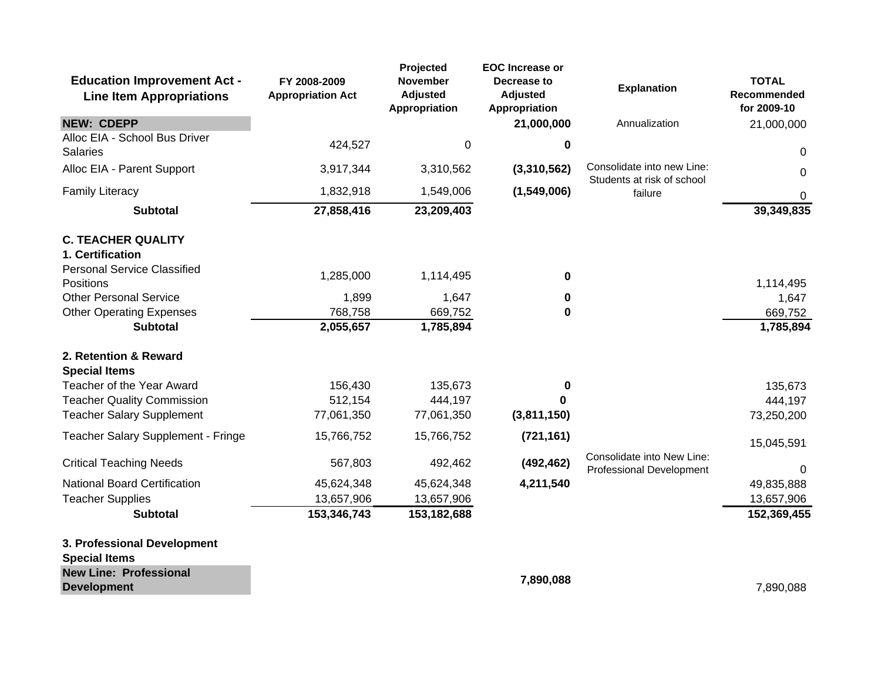| <b>Education Improvement Act -</b><br><b>Line Item Appropriations</b>      | FY 2008-2009<br><b>Appropriation Act</b> | <b>Projected</b><br><b>November</b><br><b>Adjusted</b><br>Appropriation | <b>EOC</b> Increase or<br>Decrease to<br><b>Adjusted</b><br>Appropriation | <b>Explanation</b>                                            | <b>TOTAL</b><br>Recommended<br>for 2009-10 |
|----------------------------------------------------------------------------|------------------------------------------|-------------------------------------------------------------------------|---------------------------------------------------------------------------|---------------------------------------------------------------|--------------------------------------------|
| <b>NEW: CDEPP</b>                                                          |                                          |                                                                         | 21,000,000                                                                | Annualization                                                 | 21,000,000                                 |
| Alloc EIA - School Bus Driver<br><b>Salaries</b>                           | 424,527                                  | $\mathbf 0$                                                             | 0                                                                         |                                                               | 0                                          |
| Alloc EIA - Parent Support                                                 | 3,917,344                                | 3,310,562                                                               | (3,310,562)                                                               | Consolidate into new Line:<br>Students at risk of school      | $\mathbf{0}$                               |
| <b>Family Literacy</b>                                                     | 1,832,918                                | 1,549,006                                                               | (1,549,006)                                                               | failure                                                       | 0                                          |
| <b>Subtotal</b>                                                            | 27,858,416                               | 23,209,403                                                              |                                                                           |                                                               | 39,349,835                                 |
| <b>C. TEACHER QUALITY</b>                                                  |                                          |                                                                         |                                                                           |                                                               |                                            |
| 1. Certification<br><b>Personal Service Classified</b><br><b>Positions</b> | 1,285,000                                | 1,114,495                                                               | 0                                                                         |                                                               | 1,114,495                                  |
| <b>Other Personal Service</b>                                              | 1,899                                    | 1,647                                                                   | 0                                                                         |                                                               | 1,647                                      |
| <b>Other Operating Expenses</b>                                            | 768,758                                  | 669,752                                                                 | 0                                                                         |                                                               | 669,752                                    |
| <b>Subtotal</b>                                                            | 2,055,657                                | 1,785,894                                                               |                                                                           |                                                               | 1,785,894                                  |
| 2. Retention & Reward                                                      |                                          |                                                                         |                                                                           |                                                               |                                            |
| <b>Special Items</b>                                                       |                                          |                                                                         |                                                                           |                                                               |                                            |
| Teacher of the Year Award                                                  | 156,430                                  | 135,673                                                                 | 0                                                                         |                                                               | 135,673                                    |
| <b>Teacher Quality Commission</b><br><b>Teacher Salary Supplement</b>      | 512,154                                  | 444,197                                                                 | n                                                                         |                                                               | 444,197                                    |
|                                                                            | 77,061,350                               | 77,061,350                                                              | (3,811,150)                                                               |                                                               | 73,250,200                                 |
| Teacher Salary Supplement - Fringe                                         | 15,766,752                               | 15,766,752                                                              | (721, 161)                                                                |                                                               | 15,045,591                                 |
| <b>Critical Teaching Needs</b>                                             | 567,803                                  | 492,462                                                                 | (492, 462)                                                                | Consolidate into New Line:<br><b>Professional Development</b> | $\Omega$                                   |
| <b>National Board Certification</b>                                        | 45,624,348                               | 45,624,348                                                              | 4,211,540                                                                 |                                                               | 49,835,888                                 |
| <b>Teacher Supplies</b>                                                    | 13,657,906                               | 13,657,906                                                              |                                                                           |                                                               | 13,657,906                                 |
| <b>Subtotal</b>                                                            | 153,346,743                              | 153,182,688                                                             |                                                                           |                                                               | 152,369,455                                |
| 3. Professional Development<br><b>Special Items</b>                        |                                          |                                                                         |                                                                           |                                                               |                                            |
| <b>New Line: Professional</b>                                              |                                          |                                                                         | 7,890,088                                                                 |                                                               |                                            |
| <b>Development</b>                                                         |                                          |                                                                         |                                                                           |                                                               | 7,890,088                                  |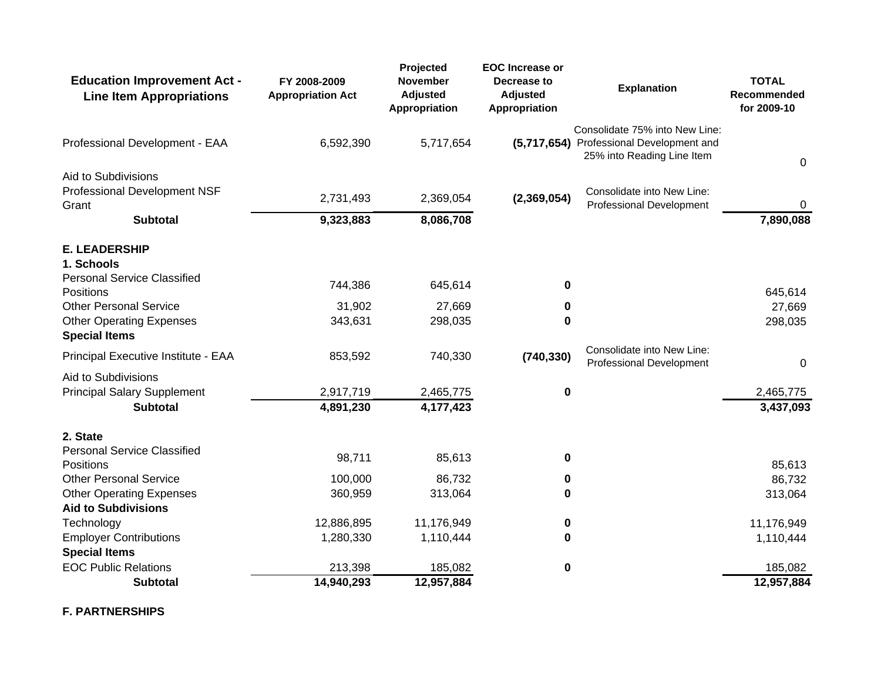| <b>Education Improvement Act -</b><br><b>Line Item Appropriations</b>                                        | FY 2008-2009<br><b>Appropriation Act</b> | Projected<br>November<br><b>Adjusted</b><br>Appropriation | <b>EOC</b> Increase or<br>Decrease to<br><b>Adjusted</b><br>Appropriation | <b>Explanation</b>                                                                                       | <b>TOTAL</b><br>Recommended<br>for 2009-10 |  |
|--------------------------------------------------------------------------------------------------------------|------------------------------------------|-----------------------------------------------------------|---------------------------------------------------------------------------|----------------------------------------------------------------------------------------------------------|--------------------------------------------|--|
| Professional Development - EAA                                                                               | 6,592,390                                | 5,717,654                                                 |                                                                           | Consolidate 75% into New Line:<br>(5,717,654) Professional Development and<br>25% into Reading Line Item | $\Omega$                                   |  |
| Aid to Subdivisions<br>Professional Development NSF<br>Grant                                                 | 2,731,493                                | 2,369,054                                                 | (2,369,054)                                                               | Consolidate into New Line:<br>Professional Development                                                   | 0                                          |  |
| <b>Subtotal</b>                                                                                              | 9,323,883                                | 8,086,708                                                 |                                                                           |                                                                                                          | 7,890,088                                  |  |
| <b>E. LEADERSHIP</b><br>1. Schools<br><b>Personal Service Classified</b>                                     | 744,386                                  | 645,614                                                   | 0                                                                         |                                                                                                          |                                            |  |
| <b>Positions</b><br><b>Other Personal Service</b><br><b>Other Operating Expenses</b><br><b>Special Items</b> | 31,902<br>343,631                        | 27,669<br>298,035                                         | 0<br>$\bf{0}$                                                             |                                                                                                          | 645,614<br>27,669<br>298,035               |  |
| Principal Executive Institute - EAA                                                                          | 853,592                                  | 740,330                                                   | (740, 330)                                                                | Consolidate into New Line:<br><b>Professional Development</b>                                            | $\Omega$                                   |  |
| Aid to Subdivisions<br><b>Principal Salary Supplement</b><br><b>Subtotal</b>                                 | 2,917,719<br>4,891,230                   | 2,465,775<br>4,177,423                                    | $\boldsymbol{0}$                                                          |                                                                                                          | 2,465,775<br>3,437,093                     |  |
| 2. State<br><b>Personal Service Classified</b>                                                               | 98,711                                   | 85,613                                                    | 0                                                                         |                                                                                                          |                                            |  |
| Positions<br><b>Other Personal Service</b>                                                                   | 100,000                                  | 86,732                                                    | 0                                                                         |                                                                                                          | 85,613<br>86,732                           |  |
| <b>Other Operating Expenses</b><br><b>Aid to Subdivisions</b>                                                | 360,959                                  | 313,064                                                   | 0                                                                         |                                                                                                          | 313,064                                    |  |
| Technology                                                                                                   | 12,886,895                               | 11,176,949                                                | 0                                                                         |                                                                                                          | 11,176,949                                 |  |
| <b>Employer Contributions</b><br><b>Special Items</b>                                                        | 1,280,330                                | 1,110,444                                                 | 0                                                                         |                                                                                                          | 1,110,444                                  |  |
| <b>EOC Public Relations</b>                                                                                  | 213,398                                  | 185,082                                                   | 0                                                                         |                                                                                                          | 185,082                                    |  |
| <b>Subtotal</b>                                                                                              | 14,940,293                               | 12,957,884                                                |                                                                           |                                                                                                          | 12,957,884                                 |  |

**F. PARTNERSHIPS**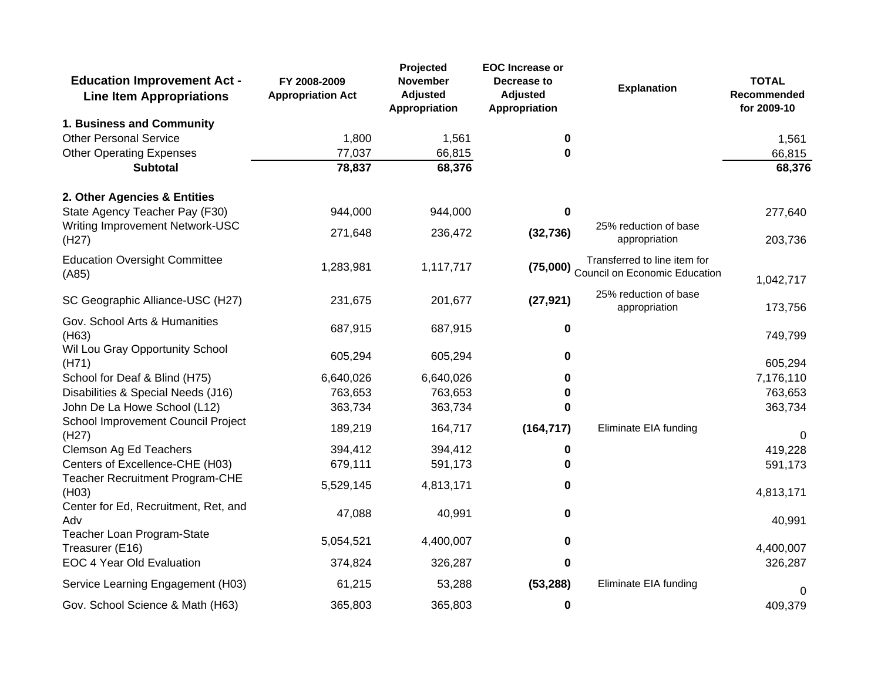| <b>Education Improvement Act -</b><br><b>Line Item Appropriations</b> | FY 2008-2009<br><b>Appropriation Act</b> | Projected<br><b>November</b><br><b>Adjusted</b><br>Appropriation | <b>EOC</b> Increase or<br>Decrease to<br><b>Adjusted</b><br>Appropriation | <b>Explanation</b>                                                     | <b>TOTAL</b><br>Recommended<br>for 2009-10 |
|-----------------------------------------------------------------------|------------------------------------------|------------------------------------------------------------------|---------------------------------------------------------------------------|------------------------------------------------------------------------|--------------------------------------------|
| 1. Business and Community                                             |                                          |                                                                  |                                                                           |                                                                        |                                            |
| <b>Other Personal Service</b>                                         | 1,800                                    | 1,561                                                            | 0                                                                         |                                                                        | 1,561                                      |
| <b>Other Operating Expenses</b>                                       | 77,037                                   | 66,815                                                           | 0                                                                         |                                                                        | 66,815                                     |
| <b>Subtotal</b>                                                       | 78,837                                   | 68,376                                                           |                                                                           |                                                                        | 68,376                                     |
| 2. Other Agencies & Entities                                          |                                          |                                                                  |                                                                           |                                                                        |                                            |
| State Agency Teacher Pay (F30)                                        | 944,000                                  | 944,000                                                          | 0                                                                         |                                                                        | 277,640                                    |
| Writing Improvement Network-USC<br>(H27)                              | 271,648                                  | 236,472                                                          | (32, 736)                                                                 | 25% reduction of base<br>appropriation                                 | 203,736                                    |
| <b>Education Oversight Committee</b><br>(A85)                         | 1,283,981                                | 1,117,717                                                        |                                                                           | Transferred to line item for<br>(75,000) Council on Economic Education | 1,042,717                                  |
| SC Geographic Alliance-USC (H27)                                      | 231,675                                  | 201,677                                                          | (27, 921)                                                                 | 25% reduction of base<br>appropriation                                 | 173,756                                    |
| Gov. School Arts & Humanities<br>(H63)                                | 687,915                                  | 687,915                                                          | 0                                                                         |                                                                        | 749,799                                    |
| Wil Lou Gray Opportunity School<br>(H71)                              | 605,294                                  | 605,294                                                          | 0                                                                         |                                                                        | 605,294                                    |
| School for Deaf & Blind (H75)                                         | 6,640,026                                | 6,640,026                                                        | O                                                                         |                                                                        | 7,176,110                                  |
| Disabilities & Special Needs (J16)                                    | 763,653                                  | 763,653                                                          | 0                                                                         |                                                                        | 763,653                                    |
| John De La Howe School (L12)                                          | 363,734                                  | 363,734                                                          | 0                                                                         |                                                                        | 363,734                                    |
| School Improvement Council Project<br>(H27)                           | 189,219                                  | 164,717                                                          | (164, 717)                                                                | Eliminate EIA funding                                                  | $\Omega$                                   |
| Clemson Ag Ed Teachers                                                | 394,412                                  | 394,412                                                          | 0                                                                         |                                                                        | 419,228                                    |
| Centers of Excellence-CHE (H03)                                       | 679,111                                  | 591,173                                                          | 0                                                                         |                                                                        | 591,173                                    |
| Teacher Recruitment Program-CHE<br>(H03)                              | 5,529,145                                | 4,813,171                                                        | 0                                                                         |                                                                        | 4,813,171                                  |
| Center for Ed, Recruitment, Ret, and<br>Adv                           | 47,088                                   | 40,991                                                           | 0                                                                         |                                                                        | 40,991                                     |
| Teacher Loan Program-State<br>Treasurer (E16)                         | 5,054,521                                | 4,400,007                                                        | 0                                                                         |                                                                        | 4,400,007                                  |
| EOC 4 Year Old Evaluation                                             | 374,824                                  | 326,287                                                          | 0                                                                         |                                                                        | 326,287                                    |
| Service Learning Engagement (H03)                                     | 61,215                                   | 53,288                                                           | (53, 288)                                                                 | Eliminate EIA funding                                                  | 0                                          |
| Gov. School Science & Math (H63)                                      | 365,803                                  | 365,803                                                          | 0                                                                         |                                                                        | 409,379                                    |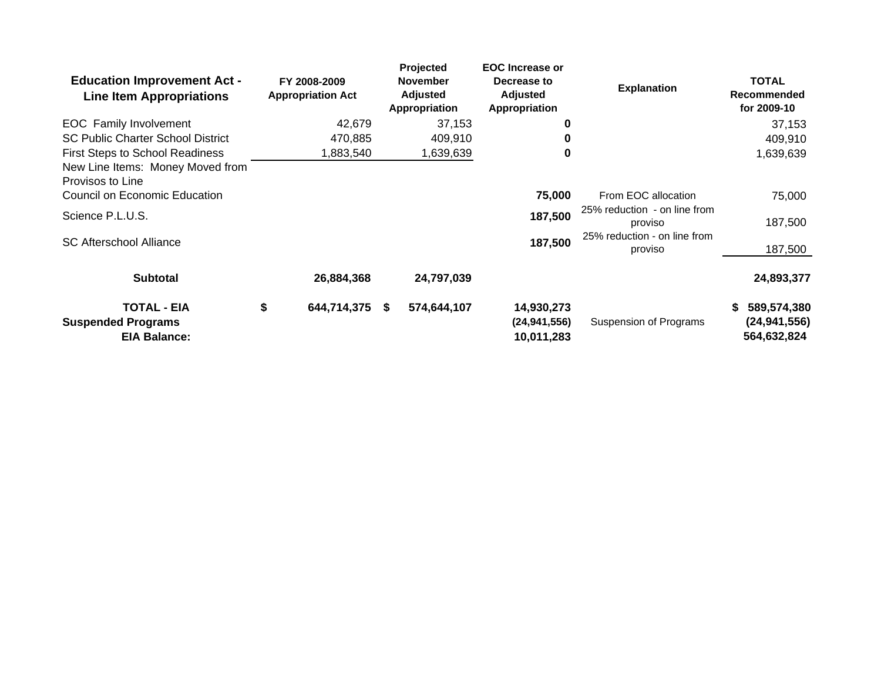| <b>Education Improvement Act -</b><br><b>Line Item Appropriations</b>                        | FY 2008-2009<br><b>Appropriation Act</b> | <b>Projected</b><br><b>November</b><br><b>Adjusted</b><br>Appropriation | <b>EOC</b> Increase or<br>Decrease to<br><b>Adjusted</b><br>Appropriation | <b>Explanation</b>                      | <b>TOTAL</b><br><b>Recommended</b><br>for 2009-10 |
|----------------------------------------------------------------------------------------------|------------------------------------------|-------------------------------------------------------------------------|---------------------------------------------------------------------------|-----------------------------------------|---------------------------------------------------|
| <b>EOC</b> Family Involvement                                                                | 42,679                                   | 37,153                                                                  | 0                                                                         |                                         | 37,153                                            |
| <b>SC Public Charter School District</b>                                                     | 470.885                                  | 409,910                                                                 | 0                                                                         |                                         | 409,910                                           |
| <b>First Steps to School Readiness</b>                                                       | 1,883,540                                | 1,639,639                                                               | 0                                                                         |                                         | 1,639,639                                         |
| New Line Items: Money Moved from<br>Provisos to Line<br><b>Council on Economic Education</b> |                                          |                                                                         | 75,000                                                                    | From EOC allocation                     | 75,000                                            |
|                                                                                              |                                          |                                                                         |                                                                           | 25% reduction - on line from            |                                                   |
| Science P.L.U.S.                                                                             |                                          |                                                                         | 187,500                                                                   | proviso                                 | 187,500                                           |
| <b>SC Afterschool Alliance</b>                                                               |                                          |                                                                         | 187,500                                                                   | 25% reduction - on line from<br>proviso | 187,500                                           |
| <b>Subtotal</b>                                                                              | 26,884,368                               | 24,797,039                                                              |                                                                           |                                         | 24,893,377                                        |
| <b>TOTAL - EIA</b>                                                                           | \$<br>644,714,375                        | 574,644,107<br>S.                                                       | 14,930,273                                                                |                                         | 589,574,380                                       |
| <b>Suspended Programs</b>                                                                    |                                          |                                                                         | (24, 941, 556)                                                            | Suspension of Programs                  | (24, 941, 556)                                    |
| <b>EIA Balance:</b>                                                                          |                                          |                                                                         | 10,011,283                                                                |                                         | 564,632,824                                       |